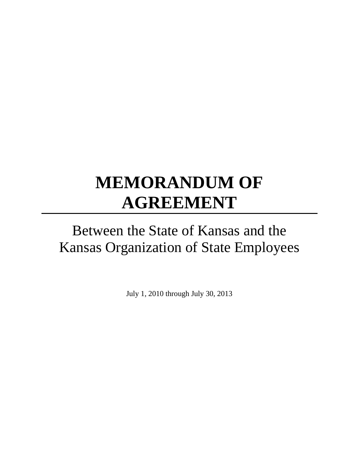# **MEMORANDUM OF AGREEMENT**

# Between the State of Kansas and the Kansas Organization of State Employees

July 1, 2010 through July 30, 2013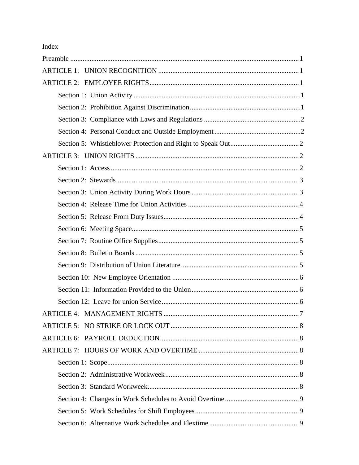Index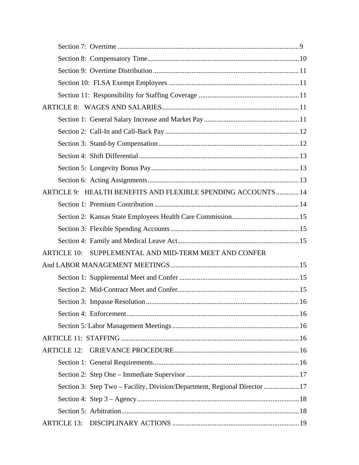|                    | ARTICLE 9: HEALTH BENEFITS AND FLEXIBLE SPENDING ACCOUNTS 14               |  |
|--------------------|----------------------------------------------------------------------------|--|
|                    |                                                                            |  |
|                    |                                                                            |  |
|                    |                                                                            |  |
|                    |                                                                            |  |
| <b>ARTICLE 10:</b> | SUPPLEMENTAL AND MID-TERM MEET AND CONFER                                  |  |
|                    |                                                                            |  |
|                    |                                                                            |  |
|                    |                                                                            |  |
|                    |                                                                            |  |
|                    |                                                                            |  |
|                    |                                                                            |  |
|                    |                                                                            |  |
| <b>ARTICLE 12:</b> |                                                                            |  |
|                    |                                                                            |  |
|                    |                                                                            |  |
|                    | Section 3: Step Two – Facility, Division/Department, Regional Director  17 |  |
|                    |                                                                            |  |
|                    |                                                                            |  |
|                    |                                                                            |  |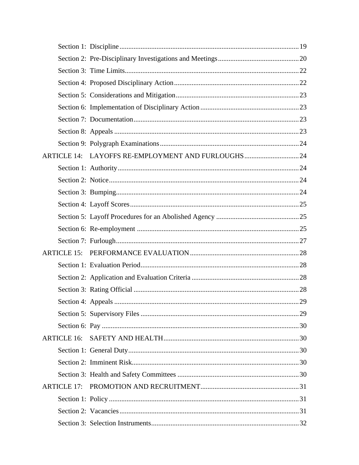|                    | ARTICLE 14: LAYOFFS RE-EMPLOYMENT AND FURLOUGHS24 |  |
|--------------------|---------------------------------------------------|--|
|                    |                                                   |  |
|                    |                                                   |  |
|                    |                                                   |  |
|                    |                                                   |  |
|                    |                                                   |  |
|                    |                                                   |  |
|                    |                                                   |  |
| <b>ARTICLE 15:</b> |                                                   |  |
|                    |                                                   |  |
|                    |                                                   |  |
|                    |                                                   |  |
|                    |                                                   |  |
|                    |                                                   |  |
|                    |                                                   |  |
| ARTICLE 16:        |                                                   |  |
|                    |                                                   |  |
|                    |                                                   |  |
|                    |                                                   |  |
| <b>ARTICLE 17:</b> |                                                   |  |
|                    |                                                   |  |
|                    |                                                   |  |
|                    |                                                   |  |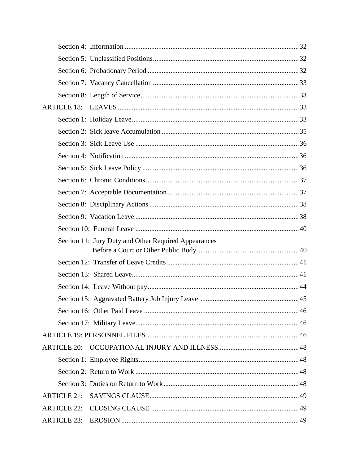| <b>ARTICLE 18:</b>                                   |  |
|------------------------------------------------------|--|
|                                                      |  |
|                                                      |  |
|                                                      |  |
|                                                      |  |
|                                                      |  |
|                                                      |  |
|                                                      |  |
|                                                      |  |
|                                                      |  |
|                                                      |  |
| Section 11: Jury Duty and Other Required Appearances |  |
|                                                      |  |
|                                                      |  |
|                                                      |  |
|                                                      |  |
|                                                      |  |
|                                                      |  |
|                                                      |  |
|                                                      |  |
|                                                      |  |
|                                                      |  |
|                                                      |  |
| <b>ARTICLE 21:</b>                                   |  |
|                                                      |  |
|                                                      |  |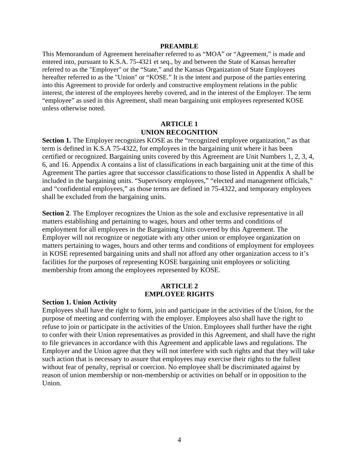#### **PREAMBLE**

This Memorandum of Agreement hereinafter referred to as "MOA" or "Agreement," is made and entered into, pursuant to K.S.A. 75-4321 et seq., by and between the State of Kansas hereafter referred to as the "Employer" or the "State," and the Kansas Organization of State Employees hereafter referred to as the "Union" or "KOSE." It is the intent and purpose of the parties entering into this Agreement to provide for orderly and constructive employment relations in the public interest, the interest of the employees hereby covered, and in the interest of the Employer. The term "employee" as used in this Agreement, shall mean bargaining unit employees represented KOSE unless otherwise noted.

#### **ARTICLE 1 UNION RECOGNITION**

**Section 1.** The Employer recognizes KOSE as the "recognized employee organization," as that term is defined in K.S.A 75-4322, for employees in the bargaining unit where it has been certified or recognized. Bargaining units covered by this Agreement are Unit Numbers 1, 2, 3, 4, 6, and 16. Appendix A contains a list of classifications in each bargaining unit at the time of this Agreement The parties agree that successor classifications to those listed in Appendix A shall be included in the bargaining units. "Supervisory employees," "elected and management officials," and "confidential employees," as those terms are defined in 75-4322, and temporary employees shall be excluded from the bargaining units.

**Section 2.** The Employer recognizes the Union as the sole and exclusive representative in all matters establishing and pertaining to wages, hours and other terms and conditions of employment for all employees in the Bargaining Units covered by this Agreement. The Employer will not recognize or negotiate with any other union or employee organization on matters pertaining to wages, hours and other terms and conditions of employment for employees in KOSE represented bargaining units and shall not afford any other organization access to it's facilities for the purposes of representing KOSE bargaining unit employees or soliciting membership from among the employees represented by KOSE.

#### **ARTICLE 2 EMPLOYEE RIGHTS**

#### **Section 1. Union Activity**

Employees shall have the right to form, join and participate in the activities of the Union, for the purpose of meeting and conferring with the employer. Employees also shall have the right to refuse to join or participate in the activities of the Union. Employees shall further have the right to confer with their Union representatives as provided in this Agreement, and shall have the right to file grievances in accordance with this Agreement and applicable laws and regulations. The Employer and the Union agree that they will not interfere with such rights and that they will take such action that is necessary to assure that employees may exercise their rights to the fullest without fear of penalty, reprisal or coercion. No employee shall be discriminated against by reason of union membership or non-membership or activities on behalf or in opposition to the Union.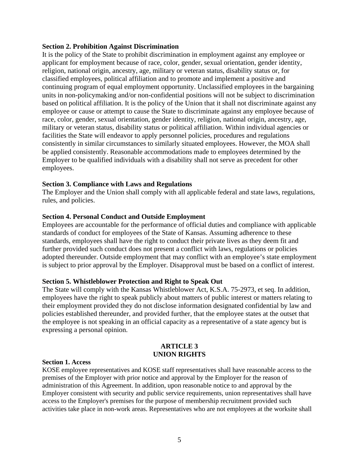#### **Section 2. Prohibition Against Discrimination**

It is the policy of the State to prohibit discrimination in employment against any employee or applicant for employment because of race, color, gender, sexual orientation, gender identity, religion, national origin, ancestry, age, military or veteran status, disability status or, for classified employees, political affiliation and to promote and implement a positive and continuing program of equal employment opportunity. Unclassified employees in the bargaining units in non-policymaking and/or non-confidential positions will not be subject to discrimination based on political affiliation. It is the policy of the Union that it shall not discriminate against any employee or cause or attempt to cause the State to discriminate against any employee because of race, color, gender, sexual orientation, gender identity, religion, national origin, ancestry, age, military or veteran status, disability status or political affiliation. Within individual agencies or facilities the State will endeavor to apply personnel policies, procedures and regulations consistently in similar circumstances to similarly situated employees. However, the MOA shall be applied consistently. Reasonable accommodations made to employees determined by the Employer to be qualified individuals with a disability shall not serve as precedent for other employees.

#### **Section 3. Compliance with Laws and Regulations**

The Employer and the Union shall comply with all applicable federal and state laws, regulations, rules, and policies.

#### **Section 4. Personal Conduct and Outside Employment**

Employees are accountable for the performance of official duties and compliance with applicable standards of conduct for employees of the State of Kansas. Assuming adherence to these standards, employees shall have the right to conduct their private lives as they deem fit and further provided such conduct does not present a conflict with laws, regulations or policies adopted thereunder. Outside employment that may conflict with an employee's state employment is subject to prior approval by the Employer. Disapproval must be based on a conflict of interest.

#### **Section 5. Whistleblower Protection and Right to Speak Out**

The State will comply with the Kansas Whistleblower Act, K.S.A. 75-2973, et seq. In addition, employees have the right to speak publicly about matters of public interest or matters relating to their employment provided they do not disclose information designated confidential by law and policies established thereunder, and provided further, that the employee states at the outset that the employee is not speaking in an official capacity as a representative of a state agency but is expressing a personal opinion.

#### **ARTICLE 3 UNION RIGHTS**

#### **Section 1. Access**

KOSE employee representatives and KOSE staff representatives shall have reasonable access to the premises of the Employer with prior notice and approval by the Employer for the reason of administration of this Agreement. In addition, upon reasonable notice to and approval by the Employer consistent with security and public service requirements, union representatives shall have access to the Employer's premises for the purpose of membership recruitment provided such activities take place in non-work areas. Representatives who are not employees at the worksite shall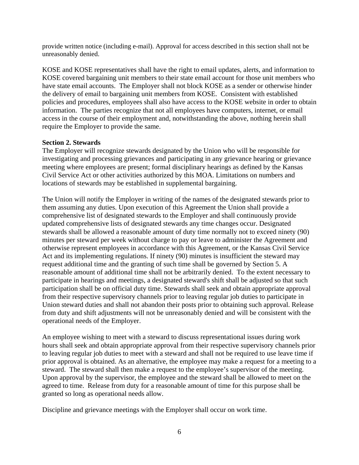provide written notice (including e-mail). Approval for access described in this section shall not be unreasonably denied.

KOSE and KOSE representatives shall have the right to email updates, alerts, and information to KOSE covered bargaining unit members to their state email account for those unit members who have state email accounts. The Employer shall not block KOSE as a sender or otherwise hinder the delivery of email to bargaining unit members from KOSE. Consistent with established policies and procedures, employees shall also have access to the KOSE website in order to obtain information. The parties recognize that not all employees have computers, internet, or email access in the course of their employment and, notwithstanding the above, nothing herein shall require the Employer to provide the same.

# **Section 2. Stewards**

The Employer will recognize stewards designated by the Union who will be responsible for investigating and processing grievances and participating in any grievance hearing or grievance meeting where employees are present; formal disciplinary hearings as defined by the Kansas Civil Service Act or other activities authorized by this MOA. Limitations on numbers and locations of stewards may be established in supplemental bargaining.

The Union will notify the Employer in writing of the names of the designated stewards prior to them assuming any duties. Upon execution of this Agreement the Union shall provide a comprehensive list of designated stewards to the Employer and shall continuously provide updated comprehensive lists of designated stewards any time changes occur. Designated stewards shall be allowed a reasonable amount of duty time normally not to exceed ninety (90) minutes per steward per week without charge to pay or leave to administer the Agreement and otherwise represent employees in accordance with this Agreement, or the Kansas Civil Service Act and its implementing regulations. If ninety (90) minutes is insufficient the steward may request additional time and the granting of such time shall be governed by Section 5. A reasonable amount of additional time shall not be arbitrarily denied. To the extent necessary to participate in hearings and meetings, a designated steward's shift shall be adjusted so that such participation shall be on official duty time. Stewards shall seek and obtain appropriate approval from their respective supervisory channels prior to leaving regular job duties to participate in Union steward duties and shall not abandon their posts prior to obtaining such approval. Release from duty and shift adjustments will not be unreasonably denied and will be consistent with the operational needs of the Employer.

An employee wishing to meet with a steward to discuss representational issues during work hours shall seek and obtain appropriate approval from their respective supervisory channels prior to leaving regular job duties to meet with a steward and shall not be required to use leave time if prior approval is obtained. As an alternative, the employee may make a request for a meeting to a steward. The steward shall then make a request to the employee's supervisor of the meeting. Upon approval by the supervisor, the employee and the steward shall be allowed to meet on the agreed to time. Release from duty for a reasonable amount of time for this purpose shall be granted so long as operational needs allow.

Discipline and grievance meetings with the Employer shall occur on work time.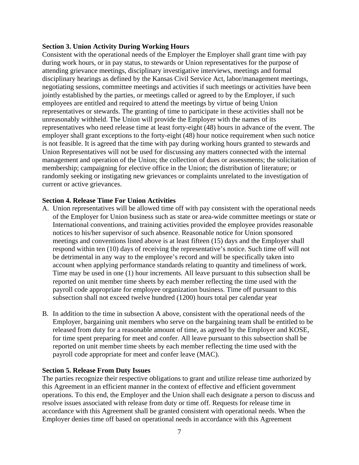#### **Section 3. Union Activity During Working Hours**

Consistent with the operational needs of the Employer the Employer shall grant time with pay during work hours, or in pay status, to stewards or Union representatives for the purpose of attending grievance meetings, disciplinary investigative interviews, meetings and formal disciplinary hearings as defined by the Kansas Civil Service Act, labor/management meetings, negotiating sessions, committee meetings and activities if such meetings or activities have been jointly established by the parties, or meetings called or agreed to by the Employer, if such employees are entitled and required to attend the meetings by virtue of being Union representatives or stewards. The granting of time to participate in these activities shall not be unreasonably withheld. The Union will provide the Employer with the names of its representatives who need release time at least forty-eight (48) hours in advance of the event. The employer shall grant exceptions to the forty-eight (48) hour notice requirement when such notice is not feasible. It is agreed that the time with pay during working hours granted to stewards and Union Representatives will not be used for discussing any matters connected with the internal management and operation of the Union; the collection of dues or assessments; the solicitation of membership; campaigning for elective office in the Union; the distribution of literature; or randomly seeking or instigating new grievances or complaints unrelated to the investigation of current or active grievances.

#### **Section 4. Release Time For Union Activities**

- A. Union representatives will be allowed time off with pay consistent with the operational needs of the Employer for Union business such as state or area-wide committee meetings or state or International conventions, and training activities provided the employee provides reasonable notices to his/her supervisor of such absence. Reasonable notice for Union sponsored meetings and conventions listed above is at least fifteen (15) days and the Employer shall respond within ten (10) days of receiving the representative's notice. Such time off will not be detrimental in any way to the employee's record and will be specifically taken into account when applying performance standards relating to quantity and timeliness of work. Time may be used in one (1) hour increments. All leave pursuant to this subsection shall be reported on unit member time sheets by each member reflecting the time used with the payroll code appropriate for employee organization business. Time off pursuant to this subsection shall not exceed twelve hundred (1200) hours total per calendar year
- B. In addition to the time in subsection A above, consistent with the operational needs of the Employer, bargaining unit members who serve on the bargaining team shall be entitled to be released from duty for a reasonable amount of time, as agreed by the Employer and KOSE, for time spent preparing for meet and confer. All leave pursuant to this subsection shall be reported on unit member time sheets by each member reflecting the time used with the payroll code appropriate for meet and confer leave (MAC).

#### **Section 5. Release From Duty Issues**

The parties recognize their respective obligations to grant and utilize release time authorized by this Agreement in an efficient manner in the context of effective and efficient government operations. To this end, the Employer and the Union shall each designate a person to discuss and resolve issues associated with release from duty or time off. Requests for release time in accordance with this Agreement shall be granted consistent with operational needs. When the Employer denies time off based on operational needs in accordance with this Agreement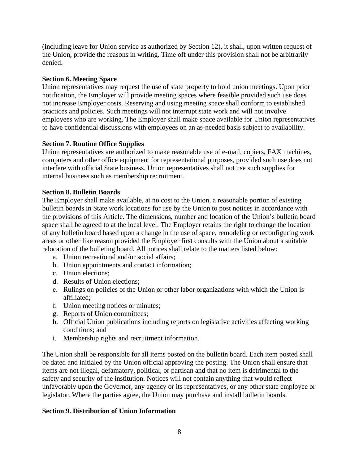(including leave for Union service as authorized by Section 12), it shall, upon written request of the Union, provide the reasons in writing. Time off under this provision shall not be arbitrarily denied.

# **Section 6. Meeting Space**

Union representatives may request the use of state property to hold union meetings. Upon prior notification, the Employer will provide meeting spaces where feasible provided such use does not increase Employer costs. Reserving and using meeting space shall conform to established practices and policies. Such meetings will not interrupt state work and will not involve employees who are working. The Employer shall make space available for Union representatives to have confidential discussions with employees on an as-needed basis subject to availability.

# **Section 7. Routine Office Supplies**

Union representatives are authorized to make reasonable use of e-mail, copiers, FAX machines, computers and other office equipment for representational purposes, provided such use does not interfere with official State business. Union representatives shall not use such supplies for internal business such as membership recruitment.

#### **Section 8. Bulletin Boards**

The Employer shall make available, at no cost to the Union, a reasonable portion of existing bulletin boards in State work locations for use by the Union to post notices in accordance with the provisions of this Article. The dimensions, number and location of the Union's bulletin board space shall be agreed to at the local level. The Employer retains the right to change the location of any bulletin board based upon a change in the use of space, remodeling or reconfiguring work areas or other like reason provided the Employer first consults with the Union about a suitable relocation of the bulleting board. All notices shall relate to the matters listed below:

- a. Union recreational and/or social affairs;
- b. Union appointments and contact information;
- c. Union elections;
- d. Results of Union elections;
- e. Rulings on policies of the Union or other labor organizations with which the Union is affiliated;
- f. Union meeting notices or minutes;
- g. Reports of Union committees;
- h. Official Union publications including reports on legislative activities affecting working conditions; and
- i. Membership rights and recruitment information.

The Union shall be responsible for all items posted on the bulletin board. Each item posted shall be dated and initialed by the Union official approving the posting. The Union shall ensure that items are not illegal, defamatory, political, or partisan and that no item is detrimental to the safety and security of the institution. Notices will not contain anything that would reflect unfavorably upon the Governor, any agency or its representatives, or any other state employee or legislator. Where the parties agree, the Union may purchase and install bulletin boards.

#### **Section 9. Distribution of Union Information**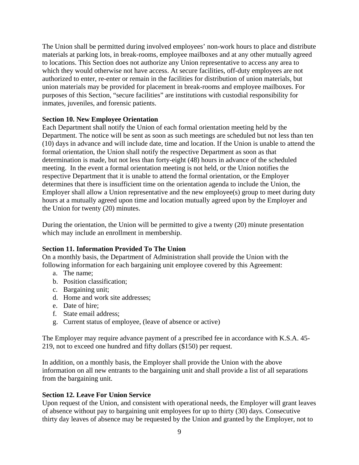The Union shall be permitted during involved employees' non-work hours to place and distribute materials at parking lots, in break-rooms, employee mailboxes and at any other mutually agreed to locations. This Section does not authorize any Union representative to access any area to which they would otherwise not have access. At secure facilities, off-duty employees are not authorized to enter, re-enter or remain in the facilities for distribution of union materials, but union materials may be provided for placement in break-rooms and employee mailboxes. For purposes of this Section, "secure facilities" are institutions with custodial responsibility for inmates, juveniles, and forensic patients.

# **Section 10. New Employee Orientation**

Each Department shall notify the Union of each formal orientation meeting held by the Department. The notice will be sent as soon as such meetings are scheduled but not less than ten (10) days in advance and will include date, time and location. If the Union is unable to attend the formal orientation, the Union shall notify the respective Department as soon as that determination is made, but not less than forty-eight (48) hours in advance of the scheduled meeting. In the event a formal orientation meeting is not held, or the Union notifies the respective Department that it is unable to attend the formal orientation, or the Employer determines that there is insufficient time on the orientation agenda to include the Union, the Employer shall allow a Union representative and the new employee(s) group to meet during duty hours at a mutually agreed upon time and location mutually agreed upon by the Employer and the Union for twenty (20) minutes.

During the orientation, the Union will be permitted to give a twenty (20) minute presentation which may include an enrollment in membership.

#### **Section 11. Information Provided To The Union**

On a monthly basis, the Department of Administration shall provide the Union with the following information for each bargaining unit employee covered by this Agreement:

- a. The name;
- b. Position classification;
- c. Bargaining unit;
- d. Home and work site addresses;
- e. Date of hire;
- f. State email address;
- g. Current status of employee, (leave of absence or active)

The Employer may require advance payment of a prescribed fee in accordance with K.S.A. 45- 219, not to exceed one hundred and fifty dollars (\$150) per request.

In addition, on a monthly basis, the Employer shall provide the Union with the above information on all new entrants to the bargaining unit and shall provide a list of all separations from the bargaining unit.

# **Section 12. Leave For Union Service**

Upon request of the Union, and consistent with operational needs, the Employer will grant leaves of absence without pay to bargaining unit employees for up to thirty (30) days. Consecutive thirty day leaves of absence may be requested by the Union and granted by the Employer, not to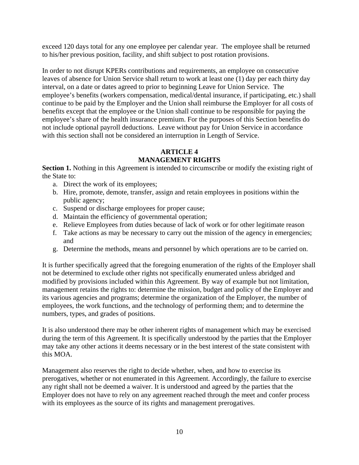exceed 120 days total for any one employee per calendar year. The employee shall be returned to his/her previous position, facility, and shift subject to post rotation provisions.

In order to not disrupt KPERs contributions and requirements, an employee on consecutive leaves of absence for Union Service shall return to work at least one (1) day per each thirty day interval, on a date or dates agreed to prior to beginning Leave for Union Service. The employee's benefits (workers compensation, medical/dental insurance, if participating, etc.) shall continue to be paid by the Employer and the Union shall reimburse the Employer for all costs of benefits except that the employee or the Union shall continue to be responsible for paying the employee's share of the health insurance premium. For the purposes of this Section benefits do not include optional payroll deductions. Leave without pay for Union Service in accordance with this section shall not be considered an interruption in Length of Service.

# **ARTICLE 4 MANAGEMENT RIGHTS**

**Section 1.** Nothing in this Agreement is intended to circumscribe or modify the existing right of the State to:

- a. Direct the work of its employees;
- b. Hire, promote, demote, transfer, assign and retain employees in positions within the public agency;
- c. Suspend or discharge employees for proper cause;
- d. Maintain the efficiency of governmental operation;
- e. Relieve Employees from duties because of lack of work or for other legitimate reason
- f. Take actions as may be necessary to carry out the mission of the agency in emergencies; and
- g. Determine the methods, means and personnel by which operations are to be carried on.

It is further specifically agreed that the foregoing enumeration of the rights of the Employer shall not be determined to exclude other rights not specifically enumerated unless abridged and modified by provisions included within this Agreement. By way of example but not limitation, management retains the rights to: determine the mission, budget and policy of the Employer and its various agencies and programs; determine the organization of the Employer, the number of employees, the work functions, and the technology of performing them; and to determine the numbers, types, and grades of positions.

It is also understood there may be other inherent rights of management which may be exercised during the term of this Agreement. It is specifically understood by the parties that the Employer may take any other actions it deems necessary or in the best interest of the state consistent with this MOA.

Management also reserves the right to decide whether, when, and how to exercise its prerogatives, whether or not enumerated in this Agreement. Accordingly, the failure to exercise any right shall not be deemed a waiver. It is understood and agreed by the parties that the Employer does not have to rely on any agreement reached through the meet and confer process with its employees as the source of its rights and management prerogatives.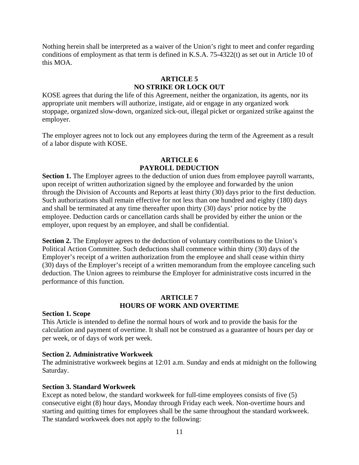Nothing herein shall be interpreted as a waiver of the Union's right to meet and confer regarding conditions of employment as that term is defined in K.S.A. 75-4322(t) as set out in Article 10 of this MOA.

# **ARTICLE 5 NO STRIKE OR LOCK OUT**

KOSE agrees that during the life of this Agreement, neither the organization, its agents, nor its appropriate unit members will authorize, instigate, aid or engage in any organized work stoppage, organized slow-down, organized sick-out, illegal picket or organized strike against the employer.

The employer agrees not to lock out any employees during the term of the Agreement as a result of a labor dispute with KOSE.

# **ARTICLE 6 PAYROLL DEDUCTION**

**Section 1.** The Employer agrees to the deduction of union dues from employee payroll warrants, upon receipt of written authorization signed by the employee and forwarded by the union through the Division of Accounts and Reports at least thirty (30) days prior to the first deduction. Such authorizations shall remain effective for not less than one hundred and eighty (180) days and shall be terminated at any time thereafter upon thirty (30) days' prior notice by the employee. Deduction cards or cancellation cards shall be provided by either the union or the employer, upon request by an employee, and shall be confidential.

**Section 2.** The Employer agrees to the deduction of voluntary contributions to the Union's Political Action Committee. Such deductions shall commence within thirty (30) days of the Employer's receipt of a written authorization from the employee and shall cease within thirty (30) days of the Employer's receipt of a written memorandum from the employee canceling such deduction. The Union agrees to reimburse the Employer for administrative costs incurred in the performance of this function.

# **ARTICLE 7 HOURS OF WORK AND OVERTIME**

#### **Section 1. Scope**

This Article is intended to define the normal hours of work and to provide the basis for the calculation and payment of overtime. It shall not be construed as a guarantee of hours per day or per week, or of days of work per week.

#### **Section 2. Administrative Workweek**

The administrative workweek begins at 12:01 a.m. Sunday and ends at midnight on the following Saturday.

#### **Section 3. Standard Workweek**

Except as noted below, the standard workweek for full-time employees consists of five (5) consecutive eight (8) hour days, Monday through Friday each week. Non-overtime hours and starting and quitting times for employees shall be the same throughout the standard workweek. The standard workweek does not apply to the following: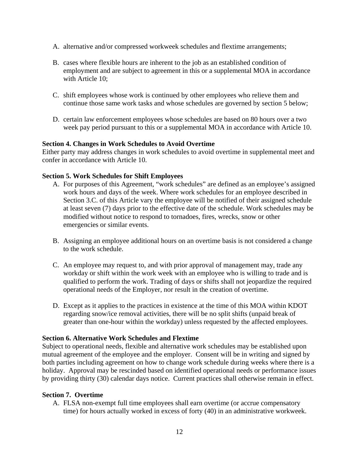- A. alternative and/or compressed workweek schedules and flextime arrangements;
- B. cases where flexible hours are inherent to the job as an established condition of employment and are subject to agreement in this or a supplemental MOA in accordance with Article 10:
- C. shift employees whose work is continued by other employees who relieve them and continue those same work tasks and whose schedules are governed by section 5 below;
- D. certain law enforcement employees whose schedules are based on 80 hours over a two week pay period pursuant to this or a supplemental MOA in accordance with Article 10.

#### **Section 4. Changes in Work Schedules to Avoid Overtime**

Either party may address changes in work schedules to avoid overtime in supplemental meet and confer in accordance with Article 10.

# **Section 5. Work Schedules for Shift Employees**

- A. For purposes of this Agreement, "work schedules" are defined as an employee's assigned work hours and days of the week. Where work schedules for an employee described in Section 3.C. of this Article vary the employee will be notified of their assigned schedule at least seven (7) days prior to the effective date of the schedule. Work schedules may be modified without notice to respond to tornadoes, fires, wrecks, snow or other emergencies or similar events.
- B. Assigning an employee additional hours on an overtime basis is not considered a change to the work schedule.
- C. An employee may request to, and with prior approval of management may, trade any workday or shift within the work week with an employee who is willing to trade and is qualified to perform the work. Trading of days or shifts shall not jeopardize the required operational needs of the Employer, nor result in the creation of overtime.
- D. Except as it applies to the practices in existence at the time of this MOA within KDOT regarding snow/ice removal activities, there will be no split shifts (unpaid break of greater than one-hour within the workday) unless requested by the affected employees.

#### **Section 6. Alternative Work Schedules and Flextime**

Subject to operational needs, flexible and alternative work schedules may be established upon mutual agreement of the employee and the employer. Consent will be in writing and signed by both parties including agreement on how to change work schedule during weeks where there is a holiday. Approval may be rescinded based on identified operational needs or performance issues by providing thirty (30) calendar days notice. Current practices shall otherwise remain in effect.

#### **Section 7. Overtime**

A. FLSA non-exempt full time employees shall earn overtime (or accrue compensatory time) for hours actually worked in excess of forty (40) in an administrative workweek.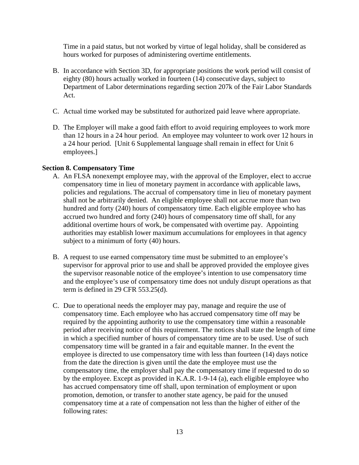Time in a paid status, but not worked by virtue of legal holiday, shall be considered as hours worked for purposes of administering overtime entitlements.

- B. In accordance with Section 3D, for appropriate positions the work period will consist of eighty (80) hours actually worked in fourteen (14) consecutive days, subject to Department of Labor determinations regarding section 207k of the Fair Labor Standards Act.
- C. Actual time worked may be substituted for authorized paid leave where appropriate.
- D. The Employer will make a good faith effort to avoid requiring employees to work more than 12 hours in a 24 hour period. An employee may volunteer to work over 12 hours in a 24 hour period. [Unit 6 Supplemental language shall remain in effect for Unit 6 employees.]

#### **Section 8. Compensatory Time**

- A. An FLSA nonexempt employee may, with the approval of the Employer, elect to accrue compensatory time in lieu of monetary payment in accordance with applicable laws, policies and regulations. The accrual of compensatory time in lieu of monetary payment shall not be arbitrarily denied. An eligible employee shall not accrue more than two hundred and forty (240) hours of compensatory time. Each eligible employee who has accrued two hundred and forty (240) hours of compensatory time off shall, for any additional overtime hours of work, be compensated with overtime pay. Appointing authorities may establish lower maximum accumulations for employees in that agency subject to a minimum of forty (40) hours.
- B. A request to use earned compensatory time must be submitted to an employee's supervisor for approval prior to use and shall be approved provided the employee gives the supervisor reasonable notice of the employee's intention to use compensatory time and the employee's use of compensatory time does not unduly disrupt operations as that term is defined in 29 CFR 553.25(d).
- C. Due to operational needs the employer may pay, manage and require the use of compensatory time. Each employee who has accrued compensatory time off may be required by the appointing authority to use the compensatory time within a reasonable period after receiving notice of this requirement. The notices shall state the length of time in which a specified number of hours of compensatory time are to be used. Use of such compensatory time will be granted in a fair and equitable manner. In the event the employee is directed to use compensatory time with less than fourteen (14) days notice from the date the direction is given until the date the employee must use the compensatory time, the employer shall pay the compensatory time if requested to do so by the employee. Except as provided in K.A.R. 1-9-14 (a), each eligible employee who has accrued compensatory time off shall, upon termination of employment or upon promotion, demotion, or transfer to another state agency, be paid for the unused compensatory time at a rate of compensation not less than the higher of either of the following rates: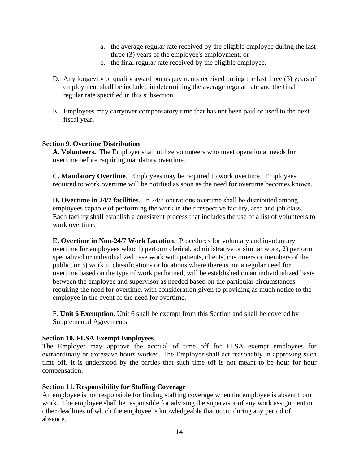- a. the average regular rate received by the eligible employee during the last three (3) years of the employee's employment; or
- b. the final regular rate received by the eligible employee.
- D. Any longevity or quality award bonus payments received during the last three (3) years of employment shall be included in determining the average regular rate and the final regular rate specified in this subsection
- E. Employees may carryover compensatory time that has not been paid or used to the next fiscal year.

#### **Section 9. Overtime Distribution**

**A. Volunteers.** The Employer shall utilize volunteers who meet operational needs for overtime before requiring mandatory overtime.

**C. Mandatory Overtime**. Employees may be required to work overtime. Employees required to work overtime will be notified as soon as the need for overtime becomes known.

**D. Overtime in 24/7 facilities**. In 24/7 operations overtime shall be distributed among employees capable of performing the work in their respective facility, area and job class. Each facility shall establish a consistent process that includes the use of a list of volunteers to work overtime.

**E. Overtime in Non-24/7 Work Location**. Procedures for voluntary and involuntary overtime for employees who: 1) perform clerical, administrative or similar work, 2) perform specialized or individualized case work with patients, clients, customers or members of the public, or 3) work in classifications or locations where there is not a regular need for overtime based on the type of work performed, will be established on an individualized basis between the employee and supervisor as needed based on the particular circumstances requiring the need for overtime, with consideration given to providing as much notice to the employee in the event of the need for overtime.

F. **Unit 6 Exemption**. Unit 6 shall be exempt from this Section and shall be covered by Supplemental Agreements.

#### **Section 10. FLSA Exempt Employees**

The Employer may approve the accrual of time off for FLSA exempt employees for extraordinary or excessive hours worked. The Employer shall act reasonably in approving such time off. It is understood by the parties that such time off is not meant to be hour for hour compensation.

#### **Section 11. Responsibility for Staffing Coverage**

An employee is not responsible for finding staffing coverage when the employee is absent from work. The employee shall be responsible for advising the supervisor of any work assignment or other deadlines of which the employee is knowledgeable that occur during any period of absence.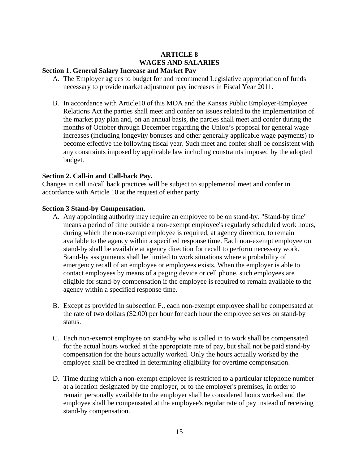# **ARTICLE 8 WAGES AND SALARIES**

#### **Section 1. General Salary Increase and Market Pay**

- A. The Employer agrees to budget for and recommend Legislative appropriation of funds necessary to provide market adjustment pay increases in Fiscal Year 2011.
- B. In accordance with Article10 of this MOA and the Kansas Public Employer-Employee Relations Act the parties shall meet and confer on issues related to the implementation of the market pay plan and, on an annual basis, the parties shall meet and confer during the months of October through December regarding the Union's proposal for general wage increases (including longevity bonuses and other generally applicable wage payments) to become effective the following fiscal year. Such meet and confer shall be consistent with any constraints imposed by applicable law including constraints imposed by the adopted budget.

#### **Section 2. Call-in and Call-back Pay.**

Changes in call in/call back practices will be subject to supplemental meet and confer in accordance with Article 10 at the request of either party.

#### **Section 3 Stand-by Compensation.**

- A. Any appointing authority may require an employee to be on stand-by. "Stand-by time" means a period of time outside a non-exempt employee's regularly scheduled work hours, during which the non-exempt employee is required, at agency direction, to remain available to the agency within a specified response time. Each non-exempt employee on stand-by shall be available at agency direction for recall to perform necessary work. Stand-by assignments shall be limited to work situations where a probability of emergency recall of an employee or employees exists. When the employer is able to contact employees by means of a paging device or cell phone, such employees are eligible for stand-by compensation if the employee is required to remain available to the agency within a specified response time.
- B. Except as provided in subsection F., each non-exempt employee shall be compensated at the rate of two dollars (\$2.00) per hour for each hour the employee serves on stand-by status.
- C. Each non-exempt employee on stand-by who is called in to work shall be compensated for the actual hours worked at the appropriate rate of pay, but shall not be paid stand-by compensation for the hours actually worked. Only the hours actually worked by the employee shall be credited in determining eligibility for overtime compensation.
- D. Time during which a non-exempt employee is restricted to a particular telephone number at a location designated by the employer, or to the employer's premises, in order to remain personally available to the employer shall be considered hours worked and the employee shall be compensated at the employee's regular rate of pay instead of receiving stand-by compensation.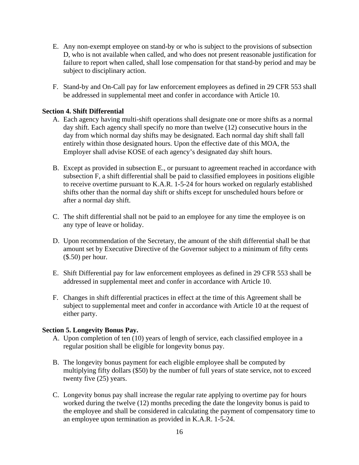- E. Any non-exempt employee on stand-by or who is subject to the provisions of subsection D, who is not available when called, and who does not present reasonable justification for failure to report when called, shall lose compensation for that stand-by period and may be subject to disciplinary action.
- F. Stand-by and On-Call pay for law enforcement employees as defined in 29 CFR 553 shall be addressed in supplemental meet and confer in accordance with Article 10.

#### **Section 4. Shift Differential**

- A. Each agency having multi-shift operations shall designate one or more shifts as a normal day shift. Each agency shall specify no more than twelve (12) consecutive hours in the day from which normal day shifts may be designated. Each normal day shift shall fall entirely within those designated hours. Upon the effective date of this MOA, the Employer shall advise KOSE of each agency's designated day shift hours.
- B. Except as provided in subsection E., or pursuant to agreement reached in accordance with subsection F, a shift differential shall be paid to classified employees in positions eligible to receive overtime pursuant to K.A.R. 1-5-24 for hours worked on regularly established shifts other than the normal day shift or shifts except for unscheduled hours before or after a normal day shift.
- C. The shift differential shall not be paid to an employee for any time the employee is on any type of leave or holiday.
- D. Upon recommendation of the Secretary, the amount of the shift differential shall be that amount set by Executive Directive of the Governor subject to a minimum of fifty cents (\$.50) per hour.
- E. Shift Differential pay for law enforcement employees as defined in 29 CFR 553 shall be addressed in supplemental meet and confer in accordance with Article 10.
- F. Changes in shift differential practices in effect at the time of this Agreement shall be subject to supplemental meet and confer in accordance with Article 10 at the request of either party.

#### **Section 5. Longevity Bonus Pay.**

- A. Upon completion of ten (10) years of length of service, each classified employee in a regular position shall be eligible for longevity bonus pay.
- B. The longevity bonus payment for each eligible employee shall be computed by multiplying fifty dollars (\$50) by the number of full years of state service, not to exceed twenty five (25) years.
- C. Longevity bonus pay shall increase the regular rate applying to overtime pay for hours worked during the twelve (12) months preceding the date the longevity bonus is paid to the employee and shall be considered in calculating the payment of compensatory time to an employee upon termination as provided in K.A.R. 1-5-24.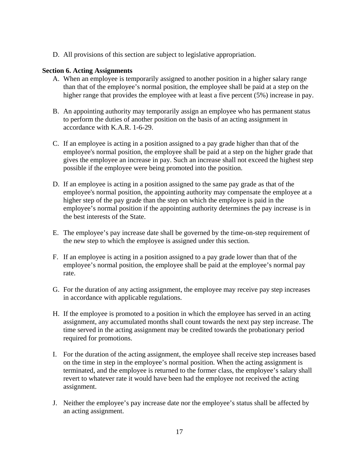D. All provisions of this section are subject to legislative appropriation.

#### **Section 6. Acting Assignments**

- A. When an employee is temporarily assigned to another position in a higher salary range than that of the employee's normal position, the employee shall be paid at a step on the higher range that provides the employee with at least a five percent (5%) increase in pay.
- B. An appointing authority may temporarily assign an employee who has permanent status to perform the duties of another position on the basis of an acting assignment in accordance with K.A.R. 1-6-29.
- C. If an employee is acting in a position assigned to a pay grade higher than that of the employee's normal position, the employee shall be paid at a step on the higher grade that gives the employee an increase in pay. Such an increase shall not exceed the highest step possible if the employee were being promoted into the position.
- D. If an employee is acting in a position assigned to the same pay grade as that of the employee's normal position, the appointing authority may compensate the employee at a higher step of the pay grade than the step on which the employee is paid in the employee's normal position if the appointing authority determines the pay increase is in the best interests of the State.
- E. The employee's pay increase date shall be governed by the time-on-step requirement of the new step to which the employee is assigned under this section.
- F. If an employee is acting in a position assigned to a pay grade lower than that of the employee's normal position, the employee shall be paid at the employee's normal pay rate.
- G. For the duration of any acting assignment, the employee may receive pay step increases in accordance with applicable regulations.
- H. If the employee is promoted to a position in which the employee has served in an acting assignment, any accumulated months shall count towards the next pay step increase. The time served in the acting assignment may be credited towards the probationary period required for promotions.
- I. For the duration of the acting assignment, the employee shall receive step increases based on the time in step in the employee's normal position. When the acting assignment is terminated, and the employee is returned to the former class, the employee's salary shall revert to whatever rate it would have been had the employee not received the acting assignment.
- J. Neither the employee's pay increase date nor the employee's status shall be affected by an acting assignment.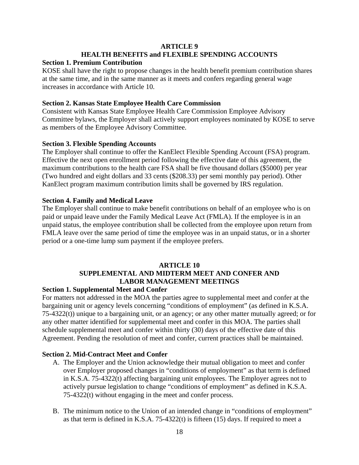# **ARTICLE 9 HEALTH BENEFITS and FLEXIBLE SPENDING ACCOUNTS**

#### **Section 1. Premium Contribution**

KOSE shall have the right to propose changes in the health benefit premium contribution shares at the same time, and in the same manner as it meets and confers regarding general wage increases in accordance with Article 10.

#### **Section 2. Kansas State Employee Health Care Commission**

Consistent with Kansas State Employee Health Care Commission Employee Advisory Committee bylaws, the Employer shall actively support employees nominated by KOSE to serve as members of the Employee Advisory Committee.

#### **Section 3. Flexible Spending Accounts**

The Employer shall continue to offer the KanElect Flexible Spending Account (FSA) program. Effective the next open enrollment period following the effective date of this agreement, the maximum contributions to the health care FSA shall be five thousand dollars (\$5000) per year (Two hundred and eight dollars and 33 cents (\$208.33) per semi monthly pay period). Other KanElect program maximum contribution limits shall be governed by IRS regulation.

#### **Section 4. Family and Medical Leave**

The Employer shall continue to make benefit contributions on behalf of an employee who is on paid or unpaid leave under the Family Medical Leave Act (FMLA). If the employee is in an unpaid status, the employee contribution shall be collected from the employee upon return from FMLA leave over the same period of time the employee was in an unpaid status, or in a shorter period or a one-time lump sum payment if the employee prefers.

# **ARTICLE 10 SUPPLEMENTAL AND MIDTERM MEET AND CONFER AND LABOR MANAGEMENT MEETINGS**

#### **Section 1. Supplemental Meet and Confer**

For matters not addressed in the MOA the parties agree to supplemental meet and confer at the bargaining unit or agency levels concerning "conditions of employment" (as defined in K.S.A. 75-4322(t)) unique to a bargaining unit, or an agency; or any other matter mutually agreed; or for any other matter identified for supplemental meet and confer in this MOA. The parties shall schedule supplemental meet and confer within thirty (30) days of the effective date of this Agreement. Pending the resolution of meet and confer, current practices shall be maintained.

#### **Section 2. Mid-Contract Meet and Confer**

- A. The Employer and the Union acknowledge their mutual obligation to meet and confer over Employer proposed changes in "conditions of employment" as that term is defined in K.S.A. 75-4322(t) affecting bargaining unit employees. The Employer agrees not to actively pursue legislation to change "conditions of employment" as defined in K.S.A. 75-4322(t) without engaging in the meet and confer process.
- B. The minimum notice to the Union of an intended change in "conditions of employment" as that term is defined in K.S.A.  $75-4322(t)$  is fifteen (15) days. If required to meet a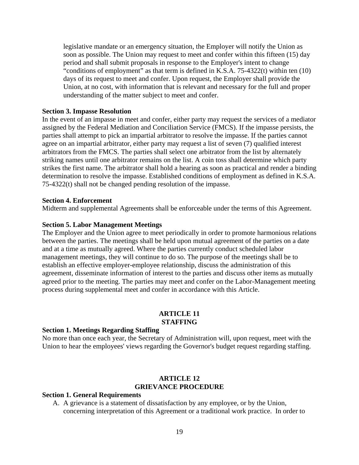legislative mandate or an emergency situation, the Employer will notify the Union as soon as possible. The Union may request to meet and confer within this fifteen (15) day period and shall submit proposals in response to the Employer's intent to change "conditions of employment" as that term is defined in K.S.A. 75-4322(t) within ten (10) days of its request to meet and confer. Upon request, the Employer shall provide the Union, at no cost, with information that is relevant and necessary for the full and proper understanding of the matter subject to meet and confer.

#### **Section 3. Impasse Resolution**

In the event of an impasse in meet and confer, either party may request the services of a mediator assigned by the Federal Mediation and Conciliation Service (FMCS). If the impasse persists, the parties shall attempt to pick an impartial arbitrator to resolve the impasse. If the parties cannot agree on an impartial arbitrator, either party may request a list of seven (7) qualified interest arbitrators from the FMCS. The parties shall select one arbitrator from the list by alternately striking names until one arbitrator remains on the list. A coin toss shall determine which party strikes the first name. The arbitrator shall hold a hearing as soon as practical and render a binding determination to resolve the impasse. Established conditions of employment as defined in K.S.A. 75-4322(t) shall not be changed pending resolution of the impasse.

#### **Section 4. Enforcement**

Midterm and supplemental Agreements shall be enforceable under the terms of this Agreement.

#### **Section 5. Labor Management Meetings**

The Employer and the Union agree to meet periodically in order to promote harmonious relations between the parties. The meetings shall be held upon mutual agreement of the parties on a date and at a time as mutually agreed. Where the parties currently conduct scheduled labor management meetings, they will continue to do so. The purpose of the meetings shall be to establish an effective employer-employee relationship, discuss the administration of this agreement, disseminate information of interest to the parties and discuss other items as mutually agreed prior to the meeting. The parties may meet and confer on the Labor-Management meeting process during supplemental meet and confer in accordance with this Article.

#### **ARTICLE 11 STAFFING**

#### **Section 1. Meetings Regarding Staffing**

No more than once each year, the Secretary of Administration will, upon request, meet with the Union to hear the employees' views regarding the Governor's budget request regarding staffing.

# **ARTICLE 12 GRIEVANCE PROCEDURE**

#### **Section 1. General Requirements**

A. A grievance is a statement of dissatisfaction by any employee, or by the Union, concerning interpretation of this Agreement or a traditional work practice. In order to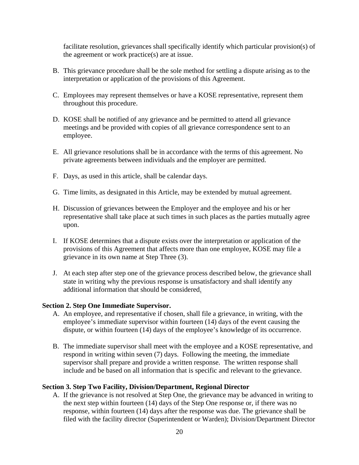facilitate resolution, grievances shall specifically identify which particular provision(s) of the agreement or work practice(s) are at issue.

- B. This grievance procedure shall be the sole method for settling a dispute arising as to the interpretation or application of the provisions of this Agreement.
- C. Employees may represent themselves or have a KOSE representative, represent them throughout this procedure.
- D. KOSE shall be notified of any grievance and be permitted to attend all grievance meetings and be provided with copies of all grievance correspondence sent to an employee.
- E. All grievance resolutions shall be in accordance with the terms of this agreement. No private agreements between individuals and the employer are permitted.
- F. Days, as used in this article, shall be calendar days.
- G. Time limits, as designated in this Article, may be extended by mutual agreement.
- H. Discussion of grievances between the Employer and the employee and his or her representative shall take place at such times in such places as the parties mutually agree upon.
- I. If KOSE determines that a dispute exists over the interpretation or application of the provisions of this Agreement that affects more than one employee, KOSE may file a grievance in its own name at Step Three (3).
- J. At each step after step one of the grievance process described below, the grievance shall state in writing why the previous response is unsatisfactory and shall identify any additional information that should be considered.

#### **Section 2. Step One Immediate Supervisor.**

- A. An employee, and representative if chosen, shall file a grievance, in writing, with the employee's immediate supervisor within fourteen (14) days of the event causing the dispute, or within fourteen (14) days of the employee's knowledge of its occurrence.
- B. The immediate supervisor shall meet with the employee and a KOSE representative, and respond in writing within seven (7) days. Following the meeting, the immediate supervisor shall prepare and provide a written response. The written response shall include and be based on all information that is specific and relevant to the grievance.

#### **Section 3. Step Two Facility, Division/Department, Regional Director**

A. If the grievance is not resolved at Step One, the grievance may be advanced in writing to the next step within fourteen (14) days of the Step One response or, if there was no response, within fourteen (14) days after the response was due. The grievance shall be filed with the facility director (Superintendent or Warden); Division/Department Director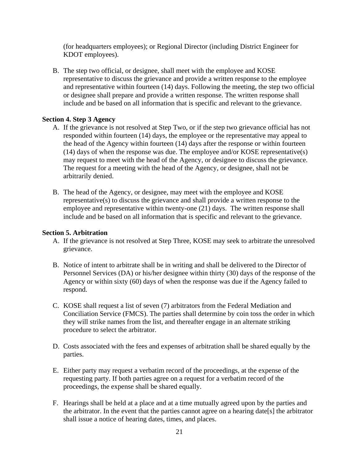(for headquarters employees); or Regional Director (including District Engineer for KDOT employees).

B. The step two official, or designee, shall meet with the employee and KOSE representative to discuss the grievance and provide a written response to the employee and representative within fourteen (14) days. Following the meeting, the step two official or designee shall prepare and provide a written response. The written response shall include and be based on all information that is specific and relevant to the grievance.

# **Section 4. Step 3 Agency**

- A. If the grievance is not resolved at Step Two, or if the step two grievance official has not responded within fourteen (14) days, the employee or the representative may appeal to the head of the Agency within fourteen (14) days after the response or within fourteen (14) days of when the response was due. The employee and/or KOSE representative(s) may request to meet with the head of the Agency, or designee to discuss the grievance. The request for a meeting with the head of the Agency, or designee, shall not be arbitrarily denied.
- B. The head of the Agency, or designee, may meet with the employee and KOSE representative(s) to discuss the grievance and shall provide a written response to the employee and representative within twenty-one (21) days. The written response shall include and be based on all information that is specific and relevant to the grievance.

#### **Section 5. Arbitration**

- A. If the grievance is not resolved at Step Three, KOSE may seek to arbitrate the unresolved grievance.
- B. Notice of intent to arbitrate shall be in writing and shall be delivered to the Director of Personnel Services (DA) or his/her designee within thirty (30) days of the response of the Agency or within sixty (60) days of when the response was due if the Agency failed to respond.
- C. KOSE shall request a list of seven (7) arbitrators from the Federal Mediation and Conciliation Service (FMCS). The parties shall determine by coin toss the order in which they will strike names from the list, and thereafter engage in an alternate striking procedure to select the arbitrator.
- D. Costs associated with the fees and expenses of arbitration shall be shared equally by the parties.
- E. Either party may request a verbatim record of the proceedings, at the expense of the requesting party. If both parties agree on a request for a verbatim record of the proceedings, the expense shall be shared equally.
- F. Hearings shall be held at a place and at a time mutually agreed upon by the parties and the arbitrator. In the event that the parties cannot agree on a hearing date[s] the arbitrator shall issue a notice of hearing dates, times, and places.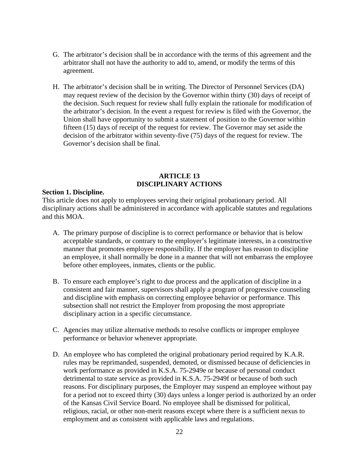- G. The arbitrator's decision shall be in accordance with the terms of this agreement and the arbitrator shall not have the authority to add to, amend, or modify the terms of this agreement.
- H. The arbitrator's decision shall be in writing. The Director of Personnel Services (DA) may request review of the decision by the Governor within thirty (30) days of receipt of the decision. Such request for review shall fully explain the rationale for modification of the arbitrator's decision. In the event a request for review is filed with the Governor, the Union shall have opportunity to submit a statement of position to the Governor within fifteen (15) days of receipt of the request for review. The Governor may set aside the decision of the arbitrator within seventy-five (75) days of the request for review. The Governor's decision shall be final.

#### **ARTICLE 13 DISCIPLINARY ACTIONS**

#### **Section 1. Discipline.**

This article does not apply to employees serving their original probationary period. All disciplinary actions shall be administered in accordance with applicable statutes and regulations and this MOA.

- A. The primary purpose of discipline is to correct performance or behavior that is below acceptable standards, or contrary to the employer's legitimate interests, in a constructive manner that promotes employee responsibility. If the employer has reason to discipline an employee, it shall normally be done in a manner that will not embarrass the employee before other employees, inmates, clients or the public.
- B. To ensure each employee's right to due process and the application of discipline in a consistent and fair manner, supervisors shall apply a program of progressive counseling and discipline with emphasis on correcting employee behavior or performance. This subsection shall not restrict the Employer from proposing the most appropriate disciplinary action in a specific circumstance.
- C. Agencies may utilize alternative methods to resolve conflicts or improper employee performance or behavior whenever appropriate.
- D. An employee who has completed the original probationary period required by K.A.R. rules may be reprimanded, suspended, demoted, or dismissed because of deficiencies in work performance as provided in K.S.A. 75-2949e or because of personal conduct detrimental to state service as provided in K.S.A. 75-2949f or because of both such reasons. For disciplinary purposes, the Employer may suspend an employee without pay for a period not to exceed thirty (30) days unless a longer period is authorized by an order of the Kansas Civil Service Board. No employee shall be dismissed for political, religious, racial, or other non-merit reasons except where there is a sufficient nexus to employment and as consistent with applicable laws and regulations.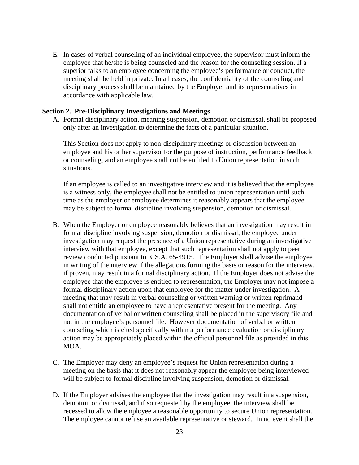E. In cases of verbal counseling of an individual employee, the supervisor must inform the employee that he/she is being counseled and the reason for the counseling session. If a superior talks to an employee concerning the employee's performance or conduct, the meeting shall be held in private. In all cases, the confidentiality of the counseling and disciplinary process shall be maintained by the Employer and its representatives in accordance with applicable law.

#### **Section 2. Pre-Disciplinary Investigations and Meetings**

A. Formal disciplinary action, meaning suspension, demotion or dismissal, shall be proposed only after an investigation to determine the facts of a particular situation.

This Section does not apply to non-disciplinary meetings or discussion between an employee and his or her supervisor for the purpose of instruction, performance feedback or counseling, and an employee shall not be entitled to Union representation in such situations.

If an employee is called to an investigative interview and it is believed that the employee is a witness only, the employee shall not be entitled to union representation until such time as the employer or employee determines it reasonably appears that the employee may be subject to formal discipline involving suspension, demotion or dismissal.

- B. When the Employer or employee reasonably believes that an investigation may result in formal discipline involving suspension, demotion or dismissal, the employee under investigation may request the presence of a Union representative during an investigative interview with that employee, except that such representation shall not apply to peer review conducted pursuant to K.S.A. 65-4915. The Employer shall advise the employee in writing of the interview if the allegations forming the basis or reason for the interview, if proven, may result in a formal disciplinary action. If the Employer does not advise the employee that the employee is entitled to representation, the Employer may not impose a formal disciplinary action upon that employee for the matter under investigation. A meeting that may result in verbal counseling or written warning or written reprimand shall not entitle an employee to have a representative present for the meeting. Any documentation of verbal or written counseling shall be placed in the supervisory file and not in the employee's personnel file. However documentation of verbal or written counseling which is cited specifically within a performance evaluation or disciplinary action may be appropriately placed within the official personnel file as provided in this MOA.
- C. The Employer may deny an employee's request for Union representation during a meeting on the basis that it does not reasonably appear the employee being interviewed will be subject to formal discipline involving suspension, demotion or dismissal.
- D. If the Employer advises the employee that the investigation may result in a suspension, demotion or dismissal, and if so requested by the employee, the interview shall be recessed to allow the employee a reasonable opportunity to secure Union representation. The employee cannot refuse an available representative or steward. In no event shall the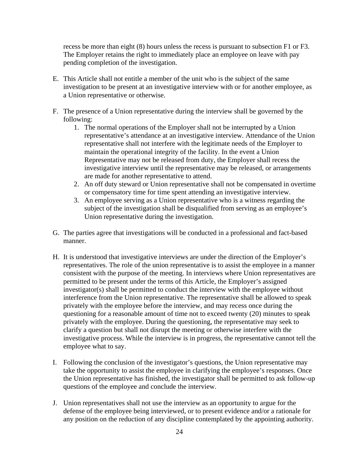recess be more than eight (8) hours unless the recess is pursuant to subsection F1 or F3. The Employer retains the right to immediately place an employee on leave with pay pending completion of the investigation.

- E. This Article shall not entitle a member of the unit who is the subject of the same investigation to be present at an investigative interview with or for another employee, as a Union representative or otherwise.
- F. The presence of a Union representative during the interview shall be governed by the following:
	- 1. The normal operations of the Employer shall not be interrupted by a Union representative's attendance at an investigative interview. Attendance of the Union representative shall not interfere with the legitimate needs of the Employer to maintain the operational integrity of the facility. In the event a Union Representative may not be released from duty, the Employer shall recess the investigative interview until the representative may be released, or arrangements are made for another representative to attend.
	- 2. An off duty steward or Union representative shall not be compensated in overtime or compensatory time for time spent attending an investigative interview.
	- 3. An employee serving as a Union representative who is a witness regarding the subject of the investigation shall be disqualified from serving as an employee's Union representative during the investigation.
- G. The parties agree that investigations will be conducted in a professional and fact-based manner.
- H. It is understood that investigative interviews are under the direction of the Employer's representatives. The role of the union representative is to assist the employee in a manner consistent with the purpose of the meeting. In interviews where Union representatives are permitted to be present under the terms of this Article, the Employer's assigned investigator(s) shall be permitted to conduct the interview with the employee without interference from the Union representative. The representative shall be allowed to speak privately with the employee before the interview, and may recess once during the questioning for a reasonable amount of time not to exceed twenty (20) minutes to speak privately with the employee. During the questioning, the representative may seek to clarify a question but shall not disrupt the meeting or otherwise interfere with the investigative process. While the interview is in progress, the representative cannot tell the employee what to say.
- I. Following the conclusion of the investigator's questions, the Union representative may take the opportunity to assist the employee in clarifying the employee's responses. Once the Union representative has finished, the investigator shall be permitted to ask follow-up questions of the employee and conclude the interview.
- J. Union representatives shall not use the interview as an opportunity to argue for the defense of the employee being interviewed, or to present evidence and/or a rationale for any position on the reduction of any discipline contemplated by the appointing authority.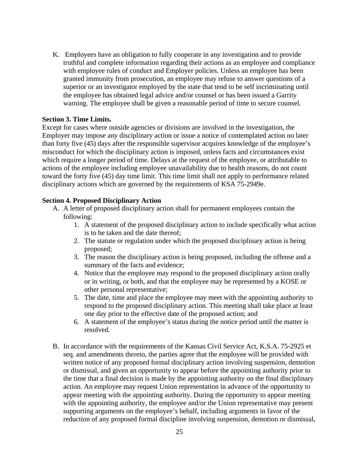K. Employees have an obligation to fully cooperate in any investigation and to provide truthful and complete information regarding their actions as an employee and compliance with employee rules of conduct and Employer policies. Unless an employee has been granted immunity from prosecution, an employee may refuse to answer questions of a superior or an investigator employed by the state that tend to be self incriminating until the employee has obtained legal advice and/or counsel or has been issued a Garrity warning. The employee shall be given a reasonable period of time to secure counsel.

#### **Section 3. Time Limits.**

Except for cases where outside agencies or divisions are involved in the investigation, the Employer may impose any disciplinary action or issue a notice of contemplated action no later than forty five (45) days after the responsible supervisor acquires knowledge of the employee's misconduct for which the disciplinary action is imposed, unless facts and circumstances exist which require a longer period of time. Delays at the request of the employee, or attributable to actions of the employee including employee unavailability due to health reasons, do not count toward the forty five (45) day time limit. This time limit shall not apply to performance related disciplinary actions which are governed by the requirements of KSA 75-2949e.

#### **Section 4. Proposed Disciplinary Action**

- A. A letter of proposed disciplinary action shall for permanent employees contain the following:
	- 1. A statement of the proposed disciplinary action to include specifically what action is to be taken and the date thereof;
	- 2. The statute or regulation under which the proposed disciplinary action is being proposed;
	- 3. The reason the disciplinary action is being proposed, including the offense and a summary of the facts and evidence;
	- 4. Notice that the employee may respond to the proposed disciplinary action orally or in writing, or both, and that the employee may be represented by a KOSE or other personal representative;
	- 5. The date, time and place the employee may meet with the appointing authority to respond to the proposed disciplinary action. This meeting shall take place at least one day prior to the effective date of the proposed action; and
	- 6. A statement of the employee's status during the notice period until the matter is resolved.
- B. In accordance with the requirements of the Kansas Civil Service Act, K.S.A. 75-2925 et seq. and amendments thereto, the parties agree that the employee will be provided with written notice of any proposed formal disciplinary action involving suspension, demotion or dismissal, and given an opportunity to appear before the appointing authority prior to the time that a final decision is made by the appointing authority on the final disciplinary action. An employee may request Union representation in advance of the opportunity to appear meeting with the appointing authority. During the opportunity to appear meeting with the appointing authority, the employee and/or the Union representative may present supporting arguments on the employee's behalf, including arguments in favor of the reduction of any proposed formal discipline involving suspension, demotion or dismissal,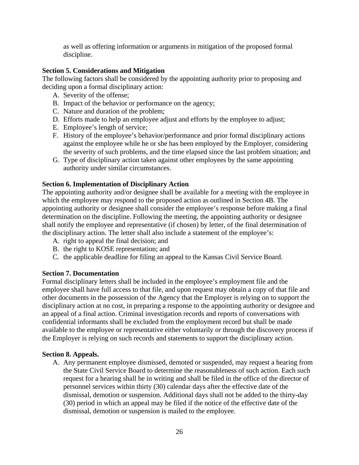as well as offering information or arguments in mitigation of the proposed formal discipline.

# **Section 5. Considerations and Mitigation**

The following factors shall be considered by the appointing authority prior to proposing and deciding upon a formal disciplinary action:

- A. Severity of the offense;
- B. Impact of the behavior or performance on the agency;
- C. Nature and duration of the problem;
- D. Efforts made to help an employee adjust and efforts by the employee to adjust;
- E. Employee's length of service;
- F. History of the employee's behavior/performance and prior formal disciplinary actions against the employee while he or she has been employed by the Employer, considering the severity of such problems, and the time elapsed since the last problem situation; and
- G. Type of disciplinary action taken against other employees by the same appointing authority under similar circumstances.

# **Section 6. Implementation of Disciplinary Action**

The appointing authority and/or designee shall be available for a meeting with the employee in which the employee may respond to the proposed action as outlined in Section 4B. The appointing authority or designee shall consider the employee's response before making a final determination on the discipline. Following the meeting, the appointing authority or designee shall notify the employee and representative (if chosen) by letter, of the final determination of the disciplinary action. The letter shall also include a statement of the employee's:

- A. right to appeal the final decision; and
- B. the right to KOSE representation; and
- C. the applicable deadline for filing an appeal to the Kansas Civil Service Board.

# **Section 7. Documentation**

Formal disciplinary letters shall be included in the employee's employment file and the employee shall have full access to that file, and upon request may obtain a copy of that file and other documents in the possession of the Agency that the Employer is relying on to support the disciplinary action at no cost, in preparing a response to the appointing authority or designee and an appeal of a final action. Criminal investigation records and reports of conversations with confidential informants shall be excluded from the employment record but shall be made available to the employee or representative either voluntarily or through the discovery process if the Employer is relying on such records and statements to support the disciplinary action.

# **Section 8. Appeals.**

A. Any permanent employee dismissed, demoted or suspended, may request a hearing from the State Civil Service Board to determine the reasonableness of such action. Each such request for a hearing shall be in writing and shall be filed in the office of the director of personnel services within thirty (30) calendar days after the effective date of the dismissal, demotion or suspension. Additional days shall not be added to the thirty-day (30) period in which an appeal may be filed if the notice of the effective date of the dismissal, demotion or suspension is mailed to the employee.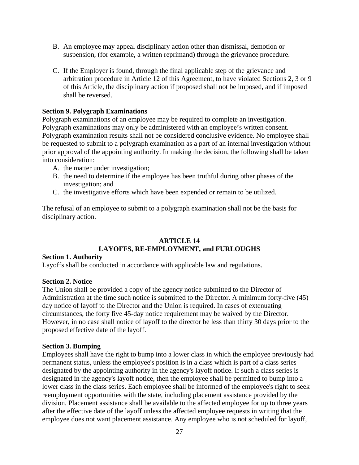- B. An employee may appeal disciplinary action other than dismissal, demotion or suspension, (for example, a written reprimand) through the grievance procedure.
- C. If the Employer is found, through the final applicable step of the grievance and arbitration procedure in Article 12 of this Agreement, to have violated Sections 2, 3 or 9 of this Article, the disciplinary action if proposed shall not be imposed, and if imposed shall be reversed.

#### **Section 9. Polygraph Examinations**

Polygraph examinations of an employee may be required to complete an investigation. Polygraph examinations may only be administered with an employee's written consent. Polygraph examination results shall not be considered conclusive evidence. No employee shall be requested to submit to a polygraph examination as a part of an internal investigation without prior approval of the appointing authority. In making the decision, the following shall be taken into consideration:

- A. the matter under investigation;
- B. the need to determine if the employee has been truthful during other phases of the investigation; and
- C. the investigative efforts which have been expended or remain to be utilized.

The refusal of an employee to submit to a polygraph examination shall not be the basis for disciplinary action.

# **ARTICLE 14 LAYOFFS, RE-EMPLOYMENT, and FURLOUGHS**

#### **Section 1. Authority**

Layoffs shall be conducted in accordance with applicable law and regulations.

#### **Section 2. Notice**

The Union shall be provided a copy of the agency notice submitted to the Director of Administration at the time such notice is submitted to the Director. A minimum forty-five (45) day notice of layoff to the Director and the Union is required. In cases of extenuating circumstances, the forty five 45-day notice requirement may be waived by the Director. However, in no case shall notice of layoff to the director be less than thirty 30 days prior to the proposed effective date of the layoff.

#### **Section 3. Bumping**

Employees shall have the right to bump into a lower class in which the employee previously had permanent status, unless the employee's position is in a class which is part of a class series designated by the appointing authority in the agency's layoff notice. If such a class series is designated in the agency's layoff notice, then the employee shall be permitted to bump into a lower class in the class series. Each employee shall be informed of the employee's right to seek reemployment opportunities with the state, including placement assistance provided by the division. Placement assistance shall be available to the affected employee for up to three years after the effective date of the layoff unless the affected employee requests in writing that the employee does not want placement assistance. Any employee who is not scheduled for layoff,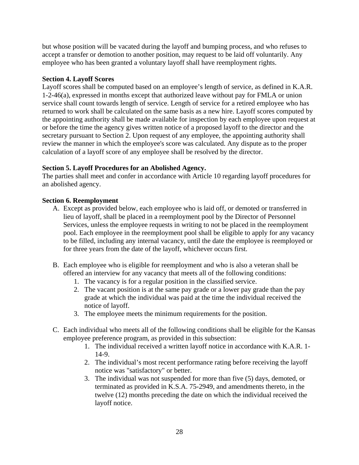but whose position will be vacated during the layoff and bumping process, and who refuses to accept a transfer or demotion to another position, may request to be laid off voluntarily. Any employee who has been granted a voluntary layoff shall have reemployment rights.

# **Section 4. Layoff Scores**

Layoff scores shall be computed based on an employee's length of service, as defined in K.A.R. 1-2-46(a), expressed in months except that authorized leave without pay for FMLA or union service shall count towards length of service. Length of service for a retired employee who has returned to work shall be calculated on the same basis as a new hire. Layoff scores computed by the appointing authority shall be made available for inspection by each employee upon request at or before the time the agency gives written notice of a proposed layoff to the director and the secretary pursuant to Section 2. Upon request of any employee, the appointing authority shall review the manner in which the employee's score was calculated. Any dispute as to the proper calculation of a layoff score of any employee shall be resolved by the director.

# **Section 5. Layoff Procedures for an Abolished Agency.**

The parties shall meet and confer in accordance with Article 10 regarding layoff procedures for an abolished agency.

# **Section 6. Reemployment**

- A. Except as provided below, each employee who is laid off, or demoted or transferred in lieu of layoff, shall be placed in a reemployment pool by the Director of Personnel Services, unless the employee requests in writing to not be placed in the reemployment pool. Each employee in the reemployment pool shall be eligible to apply for any vacancy to be filled, including any internal vacancy, until the date the employee is reemployed or for three years from the date of the layoff, whichever occurs first.
- B. Each employee who is eligible for reemployment and who is also a veteran shall be offered an interview for any vacancy that meets all of the following conditions:
	- 1. The vacancy is for a regular position in the classified service.
	- 2. The vacant position is at the same pay grade or a lower pay grade than the pay grade at which the individual was paid at the time the individual received the notice of layoff.
	- 3. The employee meets the minimum requirements for the position.
- C. Each individual who meets all of the following conditions shall be eligible for the Kansas employee preference program, as provided in this subsection:
	- 1. The individual received a written layoff notice in accordance with K.A.R. 1- 14-9.
	- 2. The individual's most recent performance rating before receiving the layoff notice was "satisfactory" or better.
	- 3. The individual was not suspended for more than five (5) days, demoted, or terminated as provided in K.S.A. 75-2949, and amendments thereto, in the twelve (12) months preceding the date on which the individual received the layoff notice.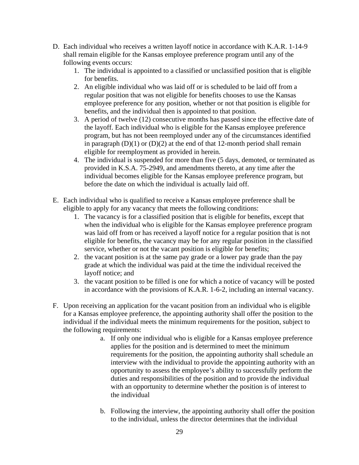- D. Each individual who receives a written layoff notice in accordance with K.A.R. 1-14-9 shall remain eligible for the Kansas employee preference program until any of the following events occurs:
	- 1. The individual is appointed to a classified or unclassified position that is eligible for benefits.
	- 2. An eligible individual who was laid off or is scheduled to be laid off from a regular position that was not eligible for benefits chooses to use the Kansas employee preference for any position, whether or not that position is eligible for benefits, and the individual then is appointed to that position.
	- 3. A period of twelve (12) consecutive months has passed since the effective date of the layoff. Each individual who is eligible for the Kansas employee preference program, but has not been reemployed under any of the circumstances identified in paragraph  $(D)(1)$  or  $(D)(2)$  at the end of that 12-month period shall remain eligible for reemployment as provided in herein.
	- 4. The individual is suspended for more than five (5 days, demoted, or terminated as provided in K.S.A. 75-2949, and amendments thereto, at any time after the individual becomes eligible for the Kansas employee preference program, but before the date on which the individual is actually laid off.
- E. Each individual who is qualified to receive a Kansas employee preference shall be eligible to apply for any vacancy that meets the following conditions:
	- 1. The vacancy is for a classified position that is eligible for benefits, except that when the individual who is eligible for the Kansas employee preference program was laid off from or has received a layoff notice for a regular position that is not eligible for benefits, the vacancy may be for any regular position in the classified service, whether or not the vacant position is eligible for benefits;
	- 2. the vacant position is at the same pay grade or a lower pay grade than the pay grade at which the individual was paid at the time the individual received the layoff notice; and
	- 3. the vacant position to be filled is one for which a notice of vacancy will be posted in accordance with the provisions of K.A.R. 1-6-2, including an internal vacancy.
- F. Upon receiving an application for the vacant position from an individual who is eligible for a Kansas employee preference, the appointing authority shall offer the position to the individual if the individual meets the minimum requirements for the position, subject to the following requirements:
	- a. If only one individual who is eligible for a Kansas employee preference applies for the position and is determined to meet the minimum requirements for the position, the appointing authority shall schedule an interview with the individual to provide the appointing authority with an opportunity to assess the employee's ability to successfully perform the duties and responsibilities of the position and to provide the individual with an opportunity to determine whether the position is of interest to the individual
	- b. Following the interview, the appointing authority shall offer the position to the individual, unless the director determines that the individual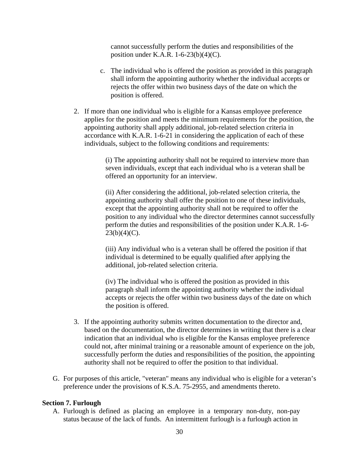cannot successfully perform the duties and responsibilities of the position under K.A.R. 1-6-23(b)(4)(C).

- c. The individual who is offered the position as provided in this paragraph shall inform the appointing authority whether the individual accepts or rejects the offer within two business days of the date on which the position is offered.
- 2. If more than one individual who is eligible for a Kansas employee preference applies for the position and meets the minimum requirements for the position, the appointing authority shall apply additional, job-related selection criteria in accordance with K.A.R. 1-6-21 in considering the application of each of these individuals, subject to the following conditions and requirements:

(i) The appointing authority shall not be required to interview more than seven individuals, except that each individual who is a veteran shall be offered an opportunity for an interview.

(ii) After considering the additional, job-related selection criteria, the appointing authority shall offer the position to one of these individuals, except that the appointing authority shall not be required to offer the position to any individual who the director determines cannot successfully perform the duties and responsibilities of the position under K.A.R. 1-6-  $23(b)(4)(C)$ .

(iii) Any individual who is a veteran shall be offered the position if that individual is determined to be equally qualified after applying the additional, job-related selection criteria.

(iv) The individual who is offered the position as provided in this paragraph shall inform the appointing authority whether the individual accepts or rejects the offer within two business days of the date on which the position is offered.

- 3. If the appointing authority submits written documentation to the director and, based on the documentation, the director determines in writing that there is a clear indication that an individual who is eligible for the Kansas employee preference could not, after minimal training or a reasonable amount of experience on the job, successfully perform the duties and responsibilities of the position, the appointing authority shall not be required to offer the position to that individual.
- G. For purposes of this article, "veteran" means any individual who is eligible for a veteran's preference under the provisions of K.S.A. 75-2955, and amendments thereto.

#### **Section 7. Furlough**

A. Furlough is defined as placing an employee in a temporary non-duty, non-pay status because of the lack of funds. An intermittent furlough is a furlough action in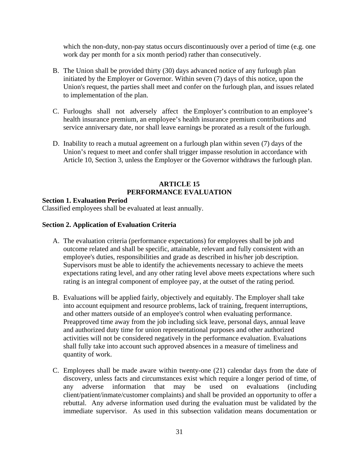which the non-duty, non-pay status occurs discontinuously over a period of time (e.g. one work day per month for a six month period) rather than consecutively.

- B. The Union shall be provided thirty (30) days advanced notice of any furlough plan initiated by the Employer or Governor. Within seven (7) days of this notice, upon the Union's request, the parties shall meet and confer on the furlough plan, and issues related to implementation of the plan.
- C. Furloughs shall not adversely affect the Employer's contribution to an employee's health insurance premium, an employee's health insurance premium contributions and service anniversary date, nor shall leave earnings be prorated as a result of the furlough.
- D. Inability to reach a mutual agreement on a furlough plan within seven (7) days of the Union's request to meet and confer shall trigger impasse resolution in accordance with Article 10, Section 3, unless the Employer or the Governor withdraws the furlough plan.

# **ARTICLE 15 PERFORMANCE EVALUATION**

#### **Section 1. Evaluation Period**

Classified employees shall be evaluated at least annually.

# **Section 2. Application of Evaluation Criteria**

- A. The evaluation criteria (performance expectations) for employees shall be job and outcome related and shall be specific, attainable, relevant and fully consistent with an employee's duties, responsibilities and grade as described in his/her job description. Supervisors must be able to identify the achievements necessary to achieve the meets expectations rating level, and any other rating level above meets expectations where such rating is an integral component of employee pay, at the outset of the rating period.
- B. Evaluations will be applied fairly, objectively and equitably. The Employer shall take into account equipment and resource problems, lack of training, frequent interruptions, and other matters outside of an employee's control when evaluating performance. Preapproved time away from the job including sick leave, personal days, annual leave and authorized duty time for union representational purposes and other authorized activities will not be considered negatively in the performance evaluation. Evaluations shall fully take into account such approved absences in a measure of timeliness and quantity of work.
- C. Employees shall be made aware within twenty-one (21) calendar days from the date of discovery, unless facts and circumstances exist which require a longer period of time, of any adverse information that may be used on evaluations (including client/patient/inmate/customer complaints) and shall be provided an opportunity to offer a rebuttal. Any adverse information used during the evaluation must be validated by the immediate supervisor. As used in this subsection validation means documentation or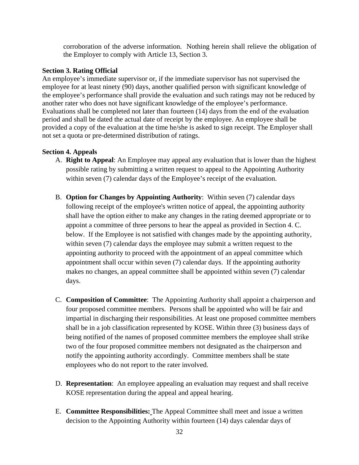corroboration of the adverse information. Nothing herein shall relieve the obligation of the Employer to comply with Article 13, Section 3.

# **Section 3. Rating Official**

An employee's immediate supervisor or, if the immediate supervisor has not supervised the employee for at least ninety (90) days, another qualified person with significant knowledge of the employee's performance shall provide the evaluation and such ratings may not be reduced by another rater who does not have significant knowledge of the employee's performance. Evaluations shall be completed not later than fourteen (14) days from the end of the evaluation period and shall be dated the actual date of receipt by the employee. An employee shall be provided a copy of the evaluation at the time he/she is asked to sign receipt. The Employer shall not set a quota or pre-determined distribution of ratings.

# **Section 4. Appeals**

- A. **Right to Appeal**: An Employee may appeal any evaluation that is lower than the highest possible rating by submitting a written request to appeal to the Appointing Authority within seven (7) calendar days of the Employee's receipt of the evaluation.
- B. **Option for Changes by Appointing Authority**: Within seven (7) calendar days following receipt of the employee's written notice of appeal, the appointing authority shall have the option either to make any changes in the rating deemed appropriate or to appoint a committee of three persons to hear the appeal as provided in Section 4. C. below. If the Employee is not satisfied with changes made by the appointing authority, within seven (7) calendar days the employee may submit a written request to the appointing authority to proceed with the appointment of an appeal committee which appointment shall occur within seven (7) calendar days. If the appointing authority makes no changes, an appeal committee shall be appointed within seven (7) calendar days.
- C. **Composition of Committee**: The Appointing Authority shall appoint a chairperson and four proposed committee members. Persons shall be appointed who will be fair and impartial in discharging their responsibilities. At least one proposed committee members shall be in a job classification represented by KOSE. Within three (3) business days of being notified of the names of proposed committee members the employee shall strike two of the four proposed committee members not designated as the chairperson and notify the appointing authority accordingly. Committee members shall be state employees who do not report to the rater involved.
- D. **Representation**: An employee appealing an evaluation may request and shall receive KOSE representation during the appeal and appeal hearing.
- E. **Committee Responsibilities:** The Appeal Committee shall meet and issue a written decision to the Appointing Authority within fourteen (14) days calendar days of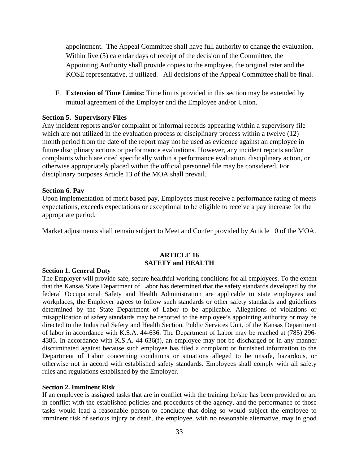appointment. The Appeal Committee shall have full authority to change the evaluation. Within five (5) calendar days of receipt of the decision of the Committee, the Appointing Authority shall provide copies to the employee, the original rater and the KOSE representative, if utilized. All decisions of the Appeal Committee shall be final.

F. **Extension of Time Limits:** Time limits provided in this section may be extended by mutual agreement of the Employer and the Employee and/or Union.

#### **Section 5. Supervisory Files**

Any incident reports and/or complaint or informal records appearing within a supervisory file which are not utilized in the evaluation process or disciplinary process within a twelve (12) month period from the date of the report may not be used as evidence against an employee in future disciplinary actions or performance evaluations. However, any incident reports and/or complaints which are cited specifically within a performance evaluation, disciplinary action, or otherwise appropriately placed within the official personnel file may be considered. For disciplinary purposes Article 13 of the MOA shall prevail.

#### **Section 6. Pay**

Upon implementation of merit based pay, Employees must receive a performance rating of meets expectations, exceeds expectations or exceptional to be eligible to receive a pay increase for the appropriate period.

Market adjustments shall remain subject to Meet and Confer provided by Article 10 of the MOA.

#### **ARTICLE 16 SAFETY and HEALTH**

#### **Section 1. General Duty**

The Employer will provide safe, secure healthful working conditions for all employees. To the extent that the Kansas State Department of Labor has determined that the safety standards developed by the federal Occupational Safety and Health Administration are applicable to state employees and workplaces, the Employer agrees to follow such standards or other safety standards and guidelines determined by the State Department of Labor to be applicable. Allegations of violations or misapplication of safety standards may be reported to the employee's appointing authority or may be directed to the Industrial Safety and Health Section, Public Services Unit, of the Kansas Department of labor in accordance with K.S.A. 44-636. The Department of Labor may be reached at (785) 296- 4386. In accordance with K.S.A. 44-636(f), an employee may not be discharged or in any manner discriminated against because such employee has filed a complaint or furnished information to the Department of Labor concerning conditions or situations alleged to be unsafe, hazardous, or otherwise not in accord with established safety standards. Employees shall comply with all safety rules and regulations established by the Employer.

#### **Section 2. Imminent Risk**

If an employee is assigned tasks that are in conflict with the training he/she has been provided or are in conflict with the established policies and procedures of the agency, and the performance of those tasks would lead a reasonable person to conclude that doing so would subject the employee to imminent risk of serious injury or death, the employee, with no reasonable alternative, may in good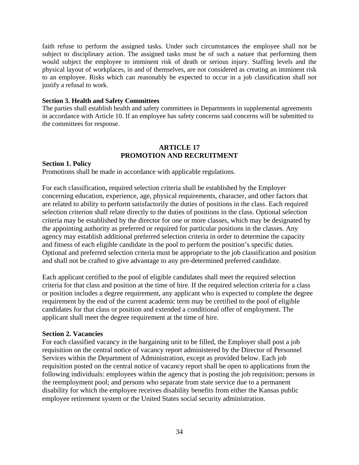faith refuse to perform the assigned tasks. Under such circumstances the employee shall not be subject to disciplinary action. The assigned tasks must be of such a nature that performing them would subject the employee to imminent risk of death or serious injury. Staffing levels and the physical layout of workplaces, in and of themselves, are not considered as creating an imminent risk to an employee. Risks which can reasonably be expected to occur in a job classification shall not justify a refusal to work.

#### **Section 3. Health and Safety Committees**

The parties shall establish health and safety committees in Departments in supplemental agreements in accordance with Article 10. If an employee has safety concerns said concerns will be submitted to the committees for response.

#### **ARTICLE 17 PROMOTION AND RECRUITMENT**

#### **Section 1. Policy**

Promotions shall be made in accordance with applicable regulations.

For each classification, required selection criteria shall be established by the Employer concerning education, experience, age, physical requirements, character, and other factors that are related to ability to perform satisfactorily the duties of positions in the class. Each required selection criterion shall relate directly to the duties of positions in the class. Optional selection criteria may be established by the director for one or more classes, which may be designated by the appointing authority as preferred or required for particular positions in the classes. Any agency may establish additional preferred selection criteria in order to determine the capacity and fitness of each eligible candidate in the pool to perform the position's specific duties. Optional and preferred selection criteria must be appropriate to the job classification and position and shall not be crafted to give advantage to any pre-determined preferred candidate.

Each applicant certified to the pool of eligible candidates shall meet the required selection criteria for that class and position at the time of hire. If the required selection criteria for a class or position includes a degree requirement, any applicant who is expected to complete the degree requirement by the end of the current academic term may be certified to the pool of eligible candidates for that class or position and extended a conditional offer of employment. The applicant shall meet the degree requirement at the time of hire.

#### **Section 2. Vacancies**

For each classified vacancy in the bargaining unit to be filled, the Employer shall post a job requisition on the central notice of vacancy report administered by the Director of Personnel Services within the Department of Administration, except as provided below. Each job requisition posted on the central notice of vacancy report shall be open to applications from the following individuals: employees within the agency that is posting the job requisition; persons in the reemployment pool; and persons who separate from state service due to a permanent disability for which the employee receives disability benefits from either the Kansas public employee retirement system or the United States social security administration.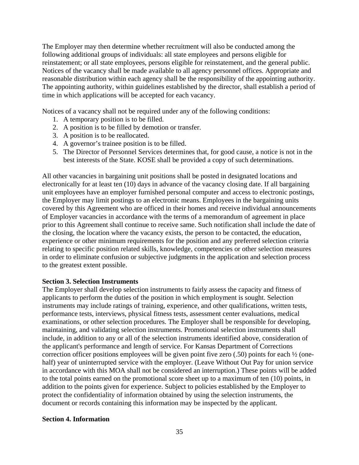The Employer may then determine whether recruitment will also be conducted among the following additional groups of individuals: all state employees and persons eligible for reinstatement; or all state employees, persons eligible for reinstatement, and the general public. Notices of the vacancy shall be made available to all agency personnel offices. Appropriate and reasonable distribution within each agency shall be the responsibility of the appointing authority. The appointing authority, within guidelines established by the director, shall establish a period of time in which applications will be accepted for each vacancy.

Notices of a vacancy shall not be required under any of the following conditions:

- 1. A temporary position is to be filled.
- 2. A position is to be filled by demotion or transfer.
- 3. A position is to be reallocated.
- 4. A governor's trainee position is to be filled.
- 5. The Director of Personnel Services determines that, for good cause, a notice is not in the best interests of the State. KOSE shall be provided a copy of such determinations.

All other vacancies in bargaining unit positions shall be posted in designated locations and electronically for at least ten (10) days in advance of the vacancy closing date. If all bargaining unit employees have an employer furnished personal computer and access to electronic postings, the Employer may limit postings to an electronic means. Employees in the bargaining units covered by this Agreement who are officed in their homes and receive individual announcements of Employer vacancies in accordance with the terms of a memorandum of agreement in place prior to this Agreement shall continue to receive same. Such notification shall include the date of the closing, the location where the vacancy exists, the person to be contacted, the education, experience or other minimum requirements for the position and any preferred selection criteria relating to specific position related skills, knowledge, competencies or other selection measures in order to eliminate confusion or subjective judgments in the application and selection process to the greatest extent possible.

#### **Section 3. Selection Instruments**

The Employer shall develop selection instruments to fairly assess the capacity and fitness of applicants to perform the duties of the position in which employment is sought. Selection instruments may include ratings of training, experience, and other qualifications, written tests, performance tests, interviews, physical fitness tests, assessment center evaluations, medical examinations, or other selection procedures. The Employer shall be responsible for developing, maintaining, and validating selection instruments. Promotional selection instruments shall include, in addition to any or all of the selection instruments identified above, consideration of the applicant's performance and length of service. For Kansas Department of Corrections correction officer positions employees will be given point five zero  $(.50)$  points for each  $\frac{1}{2}$  (onehalf) year of uninterrupted service with the employer. (Leave Without Out Pay for union service in accordance with this MOA shall not be considered an interruption.) These points will be added to the total points earned on the promotional score sheet up to a maximum of ten (10) points, in addition to the points given for experience. Subject to policies established by the Employer to protect the confidentiality of information obtained by using the selection instruments, the document or records containing this information may be inspected by the applicant.

#### **Section 4. Information**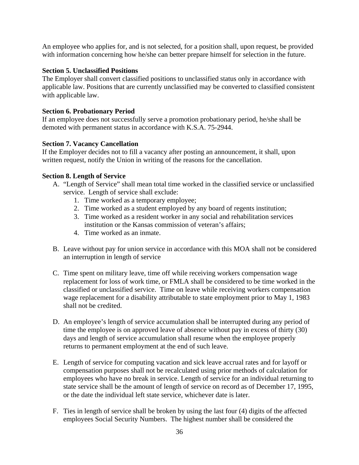An employee who applies for, and is not selected, for a position shall, upon request, be provided with information concerning how he/she can better prepare himself for selection in the future.

# **Section 5. Unclassified Positions**

The Employer shall convert classified positions to unclassified status only in accordance with applicable law. Positions that are currently unclassified may be converted to classified consistent with applicable law.

# **Section 6. Probationary Period**

If an employee does not successfully serve a promotion probationary period, he/she shall be demoted with permanent status in accordance with K.S.A. 75-2944.

# **Section 7. Vacancy Cancellation**

If the Employer decides not to fill a vacancy after posting an announcement, it shall, upon written request, notify the Union in writing of the reasons for the cancellation.

# **Section 8. Length of Service**

- A. "Length of Service" shall mean total time worked in the classified service or unclassified service. Length of service shall exclude:
	- 1. Time worked as a temporary employee;
	- 2. Time worked as a student employed by any board of regents institution;
	- 3. Time worked as a resident worker in any social and rehabilitation services institution or the Kansas commission of veteran's affairs;
	- 4. Time worked as an inmate.
- B. Leave without pay for union service in accordance with this MOA shall not be considered an interruption in length of service
- C. Time spent on military leave, time off while receiving workers compensation wage replacement for loss of work time, or FMLA shall be considered to be time worked in the classified or unclassified service. Time on leave while receiving workers compensation wage replacement for a disability attributable to state employment prior to May 1, 1983 shall not be credited.
- D. An employee's length of service accumulation shall be interrupted during any period of time the employee is on approved leave of absence without pay in excess of thirty (30) days and length of service accumulation shall resume when the employee properly returns to permanent employment at the end of such leave.
- E. Length of service for computing vacation and sick leave accrual rates and for layoff or compensation purposes shall not be recalculated using prior methods of calculation for employees who have no break in service. Length of service for an individual returning to state service shall be the amount of length of service on record as of December 17, 1995, or the date the individual left state service, whichever date is later.
- F. Ties in length of service shall be broken by using the last four (4) digits of the affected employees Social Security Numbers. The highest number shall be considered the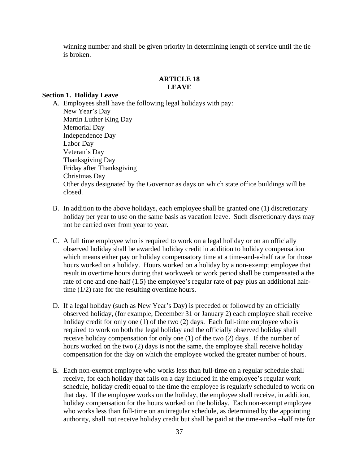winning number and shall be given priority in determining length of service until the tie is broken.

# **ARTICLE 18 LEAVE**

#### **Section 1. Holiday Leave**

A. Employees shall have the following legal holidays with pay: New Year's Day Martin Luther King Day Memorial Day Independence Day Labor Day Veteran's Day Thanksgiving Day Friday after Thanksgiving Christmas Day Other days designated by the Governor as days on which state office buildings will be closed.

- B. In addition to the above holidays, each employee shall be granted one (1) discretionary holiday per year to use on the same basis as vacation leave. Such discretionary days may not be carried over from year to year.
- C. A full time employee who is required to work on a legal holiday or on an officially observed holiday shall be awarded holiday credit in addition to holiday compensation which means either pay or holiday compensatory time at a time-and-a-half rate for those hours worked on a holiday. Hours worked on a holiday by a non-exempt employee that result in overtime hours during that workweek or work period shall be compensated a the rate of one and one-half (1.5) the employee's regular rate of pay plus an additional halftime (1/2) rate for the resulting overtime hours.
- D. If a legal holiday (such as New Year's Day) is preceded or followed by an officially observed holiday, (for example, December 31 or January 2) each employee shall receive holiday credit for only one (1) of the two (2) days. Each full-time employee who is required to work on both the legal holiday and the officially observed holiday shall receive holiday compensation for only one (1) of the two (2) days. If the number of hours worked on the two (2) days is not the same, the employee shall receive holiday compensation for the day on which the employee worked the greater number of hours.
- E. Each non-exempt employee who works less than full-time on a regular schedule shall receive, for each holiday that falls on a day included in the employee's regular work schedule, holiday credit equal to the time the employee is regularly scheduled to work on that day. If the employee works on the holiday, the employee shall receive, in addition, holiday compensation for the hours worked on the holiday. Each non-exempt employee who works less than full-time on an irregular schedule, as determined by the appointing authority, shall not receive holiday credit but shall be paid at the time-and-a –half rate for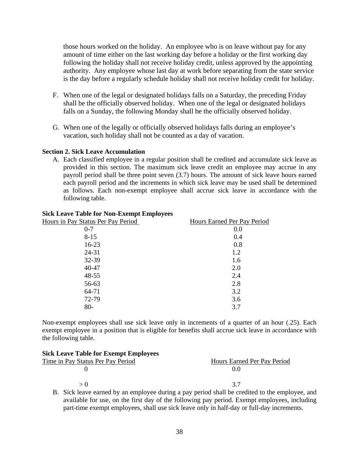those hours worked on the holiday. An employee who is on leave without pay for any amount of time either on the last working day before a holiday or the first working day following the holiday shall not receive holiday credit, unless approved by the appointing authority. Any employee whose last day at work before separating from the state service is the day before a regularly schedule holiday shall not receive holiday credit for holiday.

- F. When one of the legal or designated holidays falls on a Saturday, the preceding Friday shall be the officially observed holiday. When one of the legal or designated holidays falls on a Sunday, the following Monday shall be the officially observed holiday.
- G. When one of the legally or officially observed holidays falls during an employee's vacation, such holiday shall not be counted as a day of vacation.

#### **Section 2. Sick Leave Accumulation**

A. Each classified employee in a regular position shall be credited and accumulate sick leave as provided in this section. The maximum sick leave credit an employee may accrue in any payroll period shall be three point seven (3.7) hours. The amount of sick leave hours earned each payroll period and the increments in which sick leave may be used shall be determined as follows. Each non-exempt employee shall accrue sick leave in accordance with the following table.

| SICK Leave Table for Non-Exempt Employees |
|-------------------------------------------|
| Hours Earned Per Pay Period               |
| 0.0                                       |
| 0.4                                       |
| 0.8                                       |
| 1.2                                       |
| 1.6                                       |
| 2.0                                       |
| 2.4                                       |
| 2.8                                       |
| 3.2                                       |
| 3.6                                       |
| 3.7                                       |
|                                           |

#### **Sick Leave Table for Non-Exempt Employees**

Non-exempt employees shall use sick leave only in increments of a quarter of an hour (.25). Each exempt employee in a position that is eligible for benefits shall accrue sick leave in accordance with the following table.

| <b>Sick Leave Table for Exempt Employees</b> |                             |  |  |  |
|----------------------------------------------|-----------------------------|--|--|--|
| Time in Pay Status Per Pay Period            | Hours Earned Per Pay Period |  |  |  |
|                                              | () ()                       |  |  |  |
| $\backsim$ ()                                | 37                          |  |  |  |

B. Sick leave earned by an employee during a pay period shall be credited to the employee, and available for use, on the first day of the following pay period. Exempt employees, including part-time exempt employees, shall use sick leave only in half-day or full-day increments.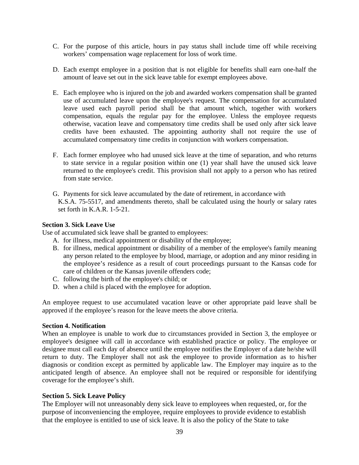- C. For the purpose of this article, hours in pay status shall include time off while receiving workers' compensation wage replacement for loss of work time.
- D. Each exempt employee in a position that is not eligible for benefits shall earn one-half the amount of leave set out in the sick leave table for exempt employees above.
- E. Each employee who is injured on the job and awarded workers compensation shall be granted use of accumulated leave upon the employee's request. The compensation for accumulated leave used each payroll period shall be that amount which, together with workers compensation, equals the regular pay for the employee. Unless the employee requests otherwise, vacation leave and compensatory time credits shall be used only after sick leave credits have been exhausted. The appointing authority shall not require the use of accumulated compensatory time credits in conjunction with workers compensation.
- F. Each former employee who had unused sick leave at the time of separation, and who returns to state service in a regular position within one (1) year shall have the unused sick leave returned to the employee's credit. This provision shall not apply to a person who has retired from state service.
- G. Payments for sick leave accumulated by the date of retirement, in accordance with K.S.A. 75-5517, and amendments thereto, shall be calculated using the hourly or salary rates set forth in K.A.R. 1-5-21.

#### **Section 3. Sick Leave Use**

Use of accumulated sick leave shall be granted to employees:

- A. for illness, medical appointment or disability of the employee;
- B. for illness, medical appointment or disability of a member of the employee's family meaning any person related to the employee by blood, marriage, or adoption and any minor residing in the employee's residence as a result of court proceedings pursuant to the Kansas code for care of children or the Kansas juvenile offenders code;
- C. following the birth of the employee's child; or
- D. when a child is placed with the employee for adoption.

An employee request to use accumulated vacation leave or other appropriate paid leave shall be approved if the employee's reason for the leave meets the above criteria.

#### **Section 4. Notification**

When an employee is unable to work due to circumstances provided in Section 3, the employee or employee's designee will call in accordance with established practice or policy. The employee or designee must call each day of absence until the employee notifies the Employer of a date he/she will return to duty. The Employer shall not ask the employee to provide information as to his/her diagnosis or condition except as permitted by applicable law. The Employer may inquire as to the anticipated length of absence. An employee shall not be required or responsible for identifying coverage for the employee's shift.

#### **Section 5. Sick Leave Policy**

The Employer will not unreasonably deny sick leave to employees when requested, or, for the purpose of inconveniencing the employee, require employees to provide evidence to establish that the employee is entitled to use of sick leave. It is also the policy of the State to take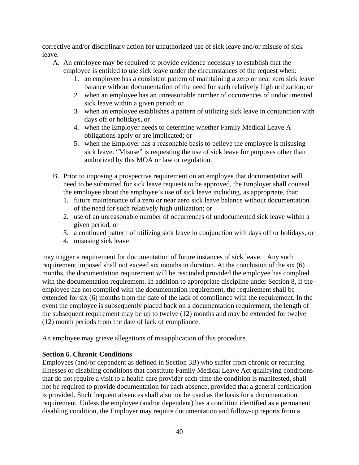corrective and/or disciplinary action for unauthorized use of sick leave and/or misuse of sick leave.

- A. An employee may be required to provide evidence necessary to establish that the employee is entitled to use sick leave under the circumstances of the request when:
	- 1. an employee has a consistent pattern of maintaining a zero or near zero sick leave balance without documentation of the need for such relatively high utilization; or
	- 2. when an employee has an unreasonable number of occurrences of undocumented sick leave within a given period; or
	- 3. when an employee establishes a pattern of utilizing sick leave in conjunction with days off or holidays, or
	- 4. when the Employer needs to determine whether Family Medical Leave A obligations apply or are implicated; or
	- 5. when the Employer has a reasonable basis to believe the employee is misusing sick leave. "Misuse" is requesting the use of sick leave for purposes other than authorized by this MOA or law or regulation.
- B. Prior to imposing a prospective requirement on an employee that documentation will need to be submitted for sick leave requests to be approved, the Employer shall counsel the employee about the employee's use of sick leave including, as appropriate, that:
	- 1. future maintenance of a zero or near zero sick leave balance without documentation of the need for such relatively high utilization; or
	- 2. use of an unreasonable number of occurrences of undocumented sick leave within a given period, or
	- 3. a continued pattern of utilizing sick leave in conjunction with days off or holidays, or
	- 4. misusing sick leave

may trigger a requirement for documentation of future instances of sick leave. Any such requirement imposed shall not exceed six months in duration. At the conclusion of the six (6) months, the documentation requirement will be rescinded provided the employee has complied with the documentation requirement. In addition to appropriate discipline under Section 8, if the employee has not complied with the documentation requirement, the requirement shall be extended for six (6) months from the date of the lack of compliance with the requirement. In the event the employee is subsequently placed back on a documentation requirement, the length of the subsequent requirement may be up to twelve (12) months and may be extended for twelve (12) month periods from the date of lack of compliance.

An employee may grieve allegations of misapplication of this procedure.

# **Section 6. Chronic Conditions**

Employees (and/or dependent as defined in Section 3B) who suffer from chronic or recurring illnesses or disabling conditions that constitute Family Medical Leave Act qualifying conditions that do not require a visit to a health care provider each time the condition is manifested, shall not be required to provide documentation for each absence, provided that a general certification is provided. Such frequent absences shall also not be used as the basis for a documentation requirement. Unless the employee (and/or dependent) has a condition identified as a permanent disabling condition, the Employer may require documentation and follow-up reports from a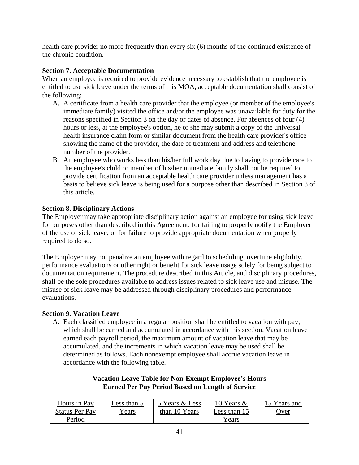health care provider no more frequently than every six (6) months of the continued existence of the chronic condition.

# **Section 7. Acceptable Documentation**

When an employee is required to provide evidence necessary to establish that the employee is entitled to use sick leave under the terms of this MOA, acceptable documentation shall consist of the following:

- A. A certificate from a health care provider that the employee (or member of the employee's immediate family) visited the office and/or the employee was unavailable for duty for the reasons specified in Section 3 on the day or dates of absence. For absences of four (4) hours or less, at the employee's option, he or she may submit a copy of the universal health insurance claim form or similar document from the health care provider's office showing the name of the provider, the date of treatment and address and telephone number of the provider.
- B. An employee who works less than his/her full work day due to having to provide care to the employee's child or member of his/her immediate family shall not be required to provide certification from an acceptable health care provider unless management has a basis to believe sick leave is being used for a purpose other than described in Section 8 of this article.

# **Section 8. Disciplinary Actions**

The Employer may take appropriate disciplinary action against an employee for using sick leave for purposes other than described in this Agreement; for failing to properly notify the Employer of the use of sick leave; or for failure to provide appropriate documentation when properly required to do so.

The Employer may not penalize an employee with regard to scheduling, overtime eligibility, performance evaluations or other right or benefit for sick leave usage solely for being subject to documentation requirement. The procedure described in this Article, and disciplinary procedures, shall be the sole procedures available to address issues related to sick leave use and misuse. The misuse of sick leave may be addressed through disciplinary procedures and performance evaluations.

# **Section 9. Vacation Leave**

A. Each classified employee in a regular position shall be entitled to vacation with pay, which shall be earned and accumulated in accordance with this section. Vacation leave earned each payroll period, the maximum amount of vacation leave that may be accumulated, and the increments in which vacation leave may be used shall be determined as follows. Each nonexempt employee shall accrue vacation leave in accordance with the following table.

# **Vacation Leave Table for Non-Exempt Employee's Hours Earned Per Pay Period Based on Length of Service**

| Hours in Pay          | Less than 5   | 5 Years & Less | 10 Years $\&$ | 15 Years and |
|-----------------------|---------------|----------------|---------------|--------------|
| <b>Status Per Pay</b> | <u>Y ears</u> | than 10 Years  | Less than 15  | <u>)ver</u>  |
| Period                |               |                | Years         |              |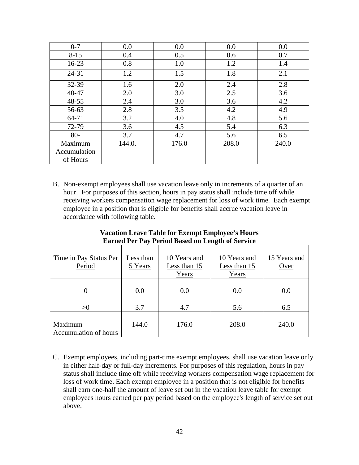| $0 - 7$      | 0.0    | 0.0   | 0.0   | 0.0   |
|--------------|--------|-------|-------|-------|
| $8 - 15$     | 0.4    | 0.5   | 0.6   | 0.7   |
| $16 - 23$    | 0.8    | 1.0   | 1.2   | 1.4   |
| $24 - 31$    | 1.2    | 1.5   | 1.8   | 2.1   |
| 32-39        | 1.6    | 2.0   | 2.4   | 2.8   |
| 40-47        | 2.0    | 3.0   | 2.5   | 3.6   |
| $48 - 55$    | 2.4    | 3.0   | 3.6   | 4.2   |
| 56-63        | 2.8    | 3.5   | 4.2   | 4.9   |
| 64-71        | 3.2    | 4.0   | 4.8   | 5.6   |
| 72-79        | 3.6    | 4.5   | 5.4   | 6.3   |
| $80-$        | 3.7    | 4.7   | 5.6   | 6.5   |
| Maximum      | 144.0. | 176.0 | 208.0 | 240.0 |
| Accumulation |        |       |       |       |
| of Hours     |        |       |       |       |

B. Non-exempt employees shall use vacation leave only in increments of a quarter of an hour. For purposes of this section, hours in pay status shall include time off while receiving workers compensation wage replacement for loss of work time. Each exempt employee in a position that is eligible for benefits shall accrue vacation leave in accordance with following table.

| Time in Pay Status Per<br>Period | Less than<br>5 Years | 10 Years and<br>Less than 15<br>Years | 10 Years and<br>Less than 15<br>Years | 15 Years and<br>Over |
|----------------------------------|----------------------|---------------------------------------|---------------------------------------|----------------------|
|                                  | 0.0                  | 0.0                                   | 0.0                                   | 0.0                  |
| >0                               | 3.7                  | 4.7                                   | 5.6                                   | 6.5                  |
| Maximum<br>Accumulation of hours | 144.0                | 176.0                                 | 208.0                                 | 240.0                |

**Vacation Leave Table for Exempt Employee's Hours Earned Per Pay Period Based on Length of Service** 

C. Exempt employees, including part-time exempt employees, shall use vacation leave only in either half-day or full-day increments. For purposes of this regulation, hours in pay status shall include time off while receiving workers compensation wage replacement for loss of work time. Each exempt employee in a position that is not eligible for benefits shall earn one-half the amount of leave set out in the vacation leave table for exempt employees hours earned per pay period based on the employee's length of service set out above.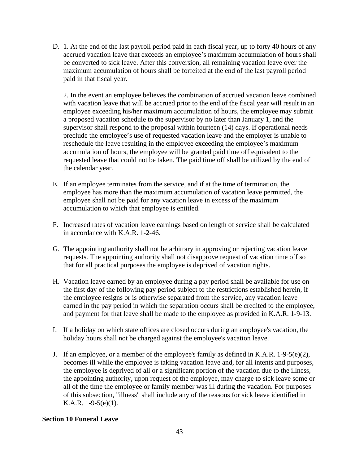D. 1. At the end of the last payroll period paid in each fiscal year, up to forty 40 hours of any accrued vacation leave that exceeds an employee's maximum accumulation of hours shall be converted to sick leave. After this conversion, all remaining vacation leave over the maximum accumulation of hours shall be forfeited at the end of the last payroll period paid in that fiscal year.

2. In the event an employee believes the combination of accrued vacation leave combined with vacation leave that will be accrued prior to the end of the fiscal year will result in an employee exceeding his/her maximum accumulation of hours, the employee may submit a proposed vacation schedule to the supervisor by no later than January 1, and the supervisor shall respond to the proposal within fourteen (14) days. If operational needs preclude the employee's use of requested vacation leave and the employer is unable to reschedule the leave resulting in the employee exceeding the employee's maximum accumulation of hours, the employee will be granted paid time off equivalent to the requested leave that could not be taken. The paid time off shall be utilized by the end of the calendar year.

- E. If an employee terminates from the service, and if at the time of termination, the employee has more than the maximum accumulation of vacation leave permitted, the employee shall not be paid for any vacation leave in excess of the maximum accumulation to which that employee is entitled.
- F. Increased rates of vacation leave earnings based on length of service shall be calculated in accordance with K.A.R. 1-2-46.
- G. The appointing authority shall not be arbitrary in approving or rejecting vacation leave requests. The appointing authority shall not disapprove request of vacation time off so that for all practical purposes the employee is deprived of vacation rights.
- H. Vacation leave earned by an employee during a pay period shall be available for use on the first day of the following pay period subject to the restrictions established herein, if the employee resigns or is otherwise separated from the service, any vacation leave earned in the pay period in which the separation occurs shall be credited to the employee, and payment for that leave shall be made to the employee as provided in K.A.R. 1-9-13.
- I. If a holiday on which state offices are closed occurs during an employee's vacation, the holiday hours shall not be charged against the employee's vacation leave.
- J. If an employee, or a member of the employee's family as defined in K.A.R. 1-9-5(e)(2), becomes ill while the employee is taking vacation leave and, for all intents and purposes, the employee is deprived of all or a significant portion of the vacation due to the illness, the appointing authority, upon request of the employee, may charge to sick leave some or all of the time the employee or family member was ill during the vacation. For purposes of this subsection, "illness" shall include any of the reasons for sick leave identified in K.A.R. 1-9-5(e)(1).

#### **Section 10 Funeral Leave**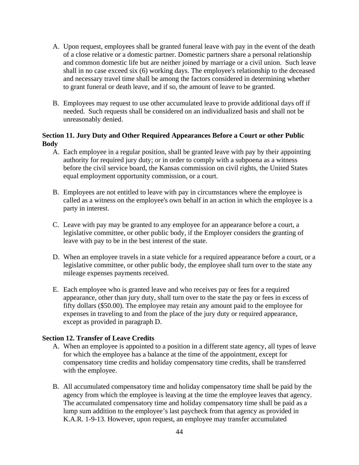- A. Upon request, employees shall be granted funeral leave with pay in the event of the death of a close relative or a domestic partner. Domestic partners share a personal relationship and common domestic life but are neither joined by marriage or a civil union. Such leave shall in no case exceed six (6) working days. The employee's relationship to the deceased and necessary travel time shall be among the factors considered in determining whether to grant funeral or death leave, and if so, the amount of leave to be granted.
- B. Employees may request to use other accumulated leave to provide additional days off if needed. Such requests shall be considered on an individualized basis and shall not be unreasonably denied.

# **Section 11. Jury Duty and Other Required Appearances Before a Court or other Public Body**

- A. Each employee in a regular position, shall be granted leave with pay by their appointing authority for required jury duty; or in order to comply with a subpoena as a witness before the civil service board, the Kansas commission on civil rights, the United States equal employment opportunity commission, or a court.
- B. Employees are not entitled to leave with pay in circumstances where the employee is called as a witness on the employee's own behalf in an action in which the employee is a party in interest.
- C. Leave with pay may be granted to any employee for an appearance before a court, a legislative committee, or other public body, if the Employer considers the granting of leave with pay to be in the best interest of the state.
- D. When an employee travels in a state vehicle for a required appearance before a court, or a legislative committee, or other public body, the employee shall turn over to the state any mileage expenses payments received.
- E. Each employee who is granted leave and who receives pay or fees for a required appearance, other than jury duty, shall turn over to the state the pay or fees in excess of fifty dollars (\$50.00). The employee may retain any amount paid to the employee for expenses in traveling to and from the place of the jury duty or required appearance, except as provided in paragraph D.

#### **Section 12. Transfer of Leave Credits**

- A. When an employee is appointed to a position in a different state agency, all types of leave for which the employee has a balance at the time of the appointment, except for compensatory time credits and holiday compensatory time credits, shall be transferred with the employee.
- B. All accumulated compensatory time and holiday compensatory time shall be paid by the agency from which the employee is leaving at the time the employee leaves that agency. The accumulated compensatory time and holiday compensatory time shall be paid as a lump sum addition to the employee's last paycheck from that agency as provided in K.A.R. 1-9-13. However, upon request, an employee may transfer accumulated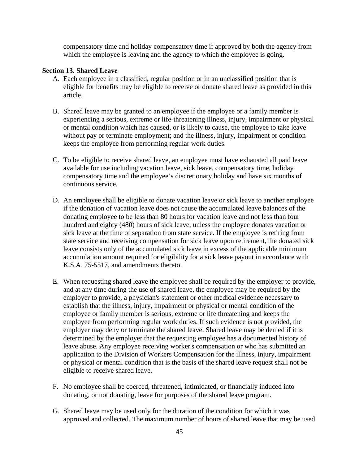compensatory time and holiday compensatory time if approved by both the agency from which the employee is leaving and the agency to which the employee is going.

#### **Section 13. Shared Leave**

- A. Each employee in a classified, regular position or in an unclassified position that is eligible for benefits may be eligible to receive or donate shared leave as provided in this article.
- B. Shared leave may be granted to an employee if the employee or a family member is experiencing a serious, extreme or life-threatening illness, injury, impairment or physical or mental condition which has caused, or is likely to cause, the employee to take leave without pay or terminate employment; and the illness, injury, impairment or condition keeps the employee from performing regular work duties.
- C. To be eligible to receive shared leave, an employee must have exhausted all paid leave available for use including vacation leave, sick leave, compensatory time, holiday compensatory time and the employee's discretionary holiday and have six months of continuous service.
- D. An employee shall be eligible to donate vacation leave or sick leave to another employee if the donation of vacation leave does not cause the accumulated leave balances of the donating employee to be less than 80 hours for vacation leave and not less than four hundred and eighty (480) hours of sick leave, unless the employee donates vacation or sick leave at the time of separation from state service. If the employee is retiring from state service and receiving compensation for sick leave upon retirement, the donated sick leave consists only of the accumulated sick leave in excess of the applicable minimum accumulation amount required for eligibility for a sick leave payout in accordance with K.S.A. 75-5517, and amendments thereto.
- E. When requesting shared leave the employee shall be required by the employer to provide, and at any time during the use of shared leave, the employee may be required by the employer to provide, a physician's statement or other medical evidence necessary to establish that the illness, injury, impairment or physical or mental condition of the employee or family member is serious, extreme or life threatening and keeps the employee from performing regular work duties. If such evidence is not provided, the employer may deny or terminate the shared leave. Shared leave may be denied if it is determined by the employer that the requesting employee has a documented history of leave abuse. Any employee receiving worker's compensation or who has submitted an application to the Division of Workers Compensation for the illness, injury, impairment or physical or mental condition that is the basis of the shared leave request shall not be eligible to receive shared leave.
- F. No employee shall be coerced, threatened, intimidated, or financially induced into donating, or not donating, leave for purposes of the shared leave program.
- G. Shared leave may be used only for the duration of the condition for which it was approved and collected. The maximum number of hours of shared leave that may be used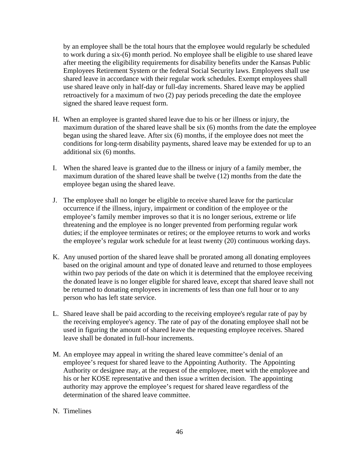by an employee shall be the total hours that the employee would regularly be scheduled to work during a six-(6) month period. No employee shall be eligible to use shared leave after meeting the eligibility requirements for disability benefits under the Kansas Public Employees Retirement System or the federal Social Security laws. Employees shall use shared leave in accordance with their regular work schedules. Exempt employees shall use shared leave only in half-day or full-day increments. Shared leave may be applied retroactively for a maximum of two (2) pay periods preceding the date the employee signed the shared leave request form.

- H. When an employee is granted shared leave due to his or her illness or injury, the maximum duration of the shared leave shall be six (6) months from the date the employee began using the shared leave. After six (6) months, if the employee does not meet the conditions for long-term disability payments, shared leave may be extended for up to an additional six (6) months.
- I. When the shared leave is granted due to the illness or injury of a family member, the maximum duration of the shared leave shall be twelve (12) months from the date the employee began using the shared leave.
- J. The employee shall no longer be eligible to receive shared leave for the particular occurrence if the illness, injury, impairment or condition of the employee or the employee's family member improves so that it is no longer serious, extreme or life threatening and the employee is no longer prevented from performing regular work duties; if the employee terminates or retires; or the employee returns to work and works the employee's regular work schedule for at least twenty (20) continuous working days.
- K. Any unused portion of the shared leave shall be prorated among all donating employees based on the original amount and type of donated leave and returned to those employees within two pay periods of the date on which it is determined that the employee receiving the donated leave is no longer eligible for shared leave, except that shared leave shall not be returned to donating employees in increments of less than one full hour or to any person who has left state service.
- L. Shared leave shall be paid according to the receiving employee's regular rate of pay by the receiving employee's agency. The rate of pay of the donating employee shall not be used in figuring the amount of shared leave the requesting employee receives. Shared leave shall be donated in full-hour increments.
- M. An employee may appeal in writing the shared leave committee's denial of an employee's request for shared leave to the Appointing Authority. The Appointing Authority or designee may, at the request of the employee, meet with the employee and his or her KOSE representative and then issue a written decision. The appointing authority may approve the employee's request for shared leave regardless of the determination of the shared leave committee.

#### N. Timelines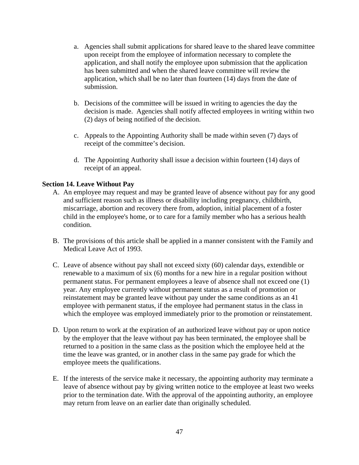- a. Agencies shall submit applications for shared leave to the shared leave committee upon receipt from the employee of information necessary to complete the application, and shall notify the employee upon submission that the application has been submitted and when the shared leave committee will review the application, which shall be no later than fourteen (14) days from the date of submission.
- b. Decisions of the committee will be issued in writing to agencies the day the decision is made. Agencies shall notify affected employees in writing within two (2) days of being notified of the decision.
- c. Appeals to the Appointing Authority shall be made within seven (7) days of receipt of the committee's decision.
- d. The Appointing Authority shall issue a decision within fourteen (14) days of receipt of an appeal.

# **Section 14. Leave Without Pay**

- A. An employee may request and may be granted leave of absence without pay for any good and sufficient reason such as illness or disability including pregnancy, childbirth, miscarriage, abortion and recovery there from, adoption, initial placement of a foster child in the employee's home, or to care for a family member who has a serious health condition.
- B. The provisions of this article shall be applied in a manner consistent with the Family and Medical Leave Act of 1993.
- C. Leave of absence without pay shall not exceed sixty (60) calendar days, extendible or renewable to a maximum of six (6) months for a new hire in a regular position without permanent status. For permanent employees a leave of absence shall not exceed one (1) year. Any employee currently without permanent status as a result of promotion or reinstatement may be granted leave without pay under the same conditions as an 41 employee with permanent status, if the employee had permanent status in the class in which the employee was employed immediately prior to the promotion or reinstatement.
- D. Upon return to work at the expiration of an authorized leave without pay or upon notice by the employer that the leave without pay has been terminated, the employee shall be returned to a position in the same class as the position which the employee held at the time the leave was granted, or in another class in the same pay grade for which the employee meets the qualifications.
- E. If the interests of the service make it necessary, the appointing authority may terminate a leave of absence without pay by giving written notice to the employee at least two weeks prior to the termination date. With the approval of the appointing authority, an employee may return from leave on an earlier date than originally scheduled.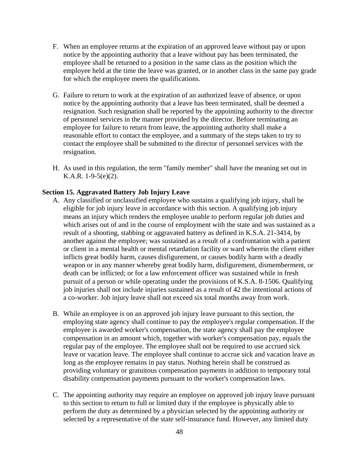- F. When an employee returns at the expiration of an approved leave without pay or upon notice by the appointing authority that a leave without pay has been terminated, the employee shall be returned to a position in the same class as the position which the employee held at the time the leave was granted, or in another class in the same pay grade for which the employee meets the qualifications.
- G. Failure to return to work at the expiration of an authorized leave of absence, or upon notice by the appointing authority that a leave has been terminated, shall be deemed a resignation. Such resignation shall be reported by the appointing authority to the director of personnel services in the manner provided by the director. Before terminating an employee for failure to return from leave, the appointing authority shall make a reasonable effort to contact the employee, and a summary of the steps taken to try to contact the employee shall be submitted to the director of personnel services with the resignation.
- H. As used in this regulation, the term "family member" shall have the meaning set out in K.A.R. 1-9-5(e)(2).

#### **Section 15. Aggravated Battery Job Injury Leave**

- A. Any classified or unclassified employee who sustains a qualifying job injury, shall be eligible for job injury leave in accordance with this section. A qualifying job injury means an injury which renders the employee unable to perform regular job duties and which arises out of and in the course of employment with the state and was sustained as a result of a shooting, stabbing or aggravated battery as defined in K.S.A. 21-3414, by another against the employee; was sustained as a result of a confrontation with a patient or client in a mental health or mental retardation facility or ward wherein the client either inflicts great bodily harm, causes disfigurement, or causes bodily harm with a deadly weapon or in any manner whereby great bodily harm, disfigurement, dismemberment, or death can be inflicted; or for a law enforcement officer was sustained while in fresh pursuit of a person or while operating under the provisions of K.S.A. 8-1506. Qualifying job injuries shall not include injuries sustained as a result of 42 the intentional actions of a co-worker. Job injury leave shall not exceed six total months away from work.
- B. While an employee is on an approved job injury leave pursuant to this section, the employing state agency shall continue to pay the employee's regular compensation. If the employee is awarded worker's compensation, the state agency shall pay the employee compensation in an amount which, together with worker's compensation pay, equals the regular pay of the employee. The employee shall not be required to use accrued sick leave or vacation leave. The employee shall continue to accrue sick and vacation leave as long as the employee remains in pay status. Nothing herein shall be construed as providing voluntary or gratuitous compensation payments in addition to temporary total disability compensation payments pursuant to the worker's compensation laws.
- C. The appointing authority may require an employee on approved job injury leave pursuant to this section to return to full or limited duty if the employee is physically able to perform the duty as determined by a physician selected by the appointing authority or selected by a representative of the state self-insurance fund. However, any limited duty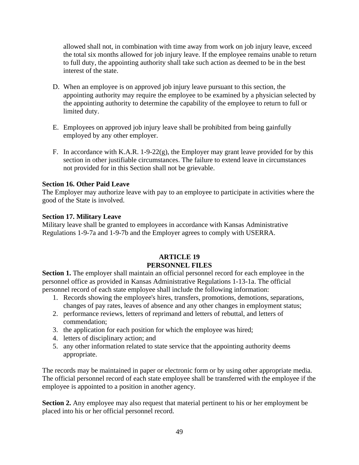allowed shall not, in combination with time away from work on job injury leave, exceed the total six months allowed for job injury leave. If the employee remains unable to return to full duty, the appointing authority shall take such action as deemed to be in the best interest of the state.

- D. When an employee is on approved job injury leave pursuant to this section, the appointing authority may require the employee to be examined by a physician selected by the appointing authority to determine the capability of the employee to return to full or limited duty.
- E. Employees on approved job injury leave shall be prohibited from being gainfully employed by any other employer.
- F. In accordance with K.A.R. 1-9-22(g), the Employer may grant leave provided for by this section in other justifiable circumstances. The failure to extend leave in circumstances not provided for in this Section shall not be grievable.

# **Section 16. Other Paid Leave**

The Employer may authorize leave with pay to an employee to participate in activities where the good of the State is involved.

# **Section 17. Military Leave**

Military leave shall be granted to employees in accordance with Kansas Administrative Regulations 1-9-7a and 1-9-7b and the Employer agrees to comply with USERRA.

# **ARTICLE 19 PERSONNEL FILES**

**Section 1.** The employer shall maintain an official personnel record for each employee in the personnel office as provided in Kansas Administrative Regulations 1-13-1a. The official personnel record of each state employee shall include the following information:

- 1. Records showing the employee's hires, transfers, promotions, demotions, separations, changes of pay rates, leaves of absence and any other changes in employment status;
- 2. performance reviews, letters of reprimand and letters of rebuttal, and letters of commendation;
- 3. the application for each position for which the employee was hired;
- 4. letters of disciplinary action; and
- 5. any other information related to state service that the appointing authority deems appropriate.

The records may be maintained in paper or electronic form or by using other appropriate media. The official personnel record of each state employee shall be transferred with the employee if the employee is appointed to a position in another agency.

**Section 2.** Any employee may also request that material pertinent to his or her employment be placed into his or her official personnel record.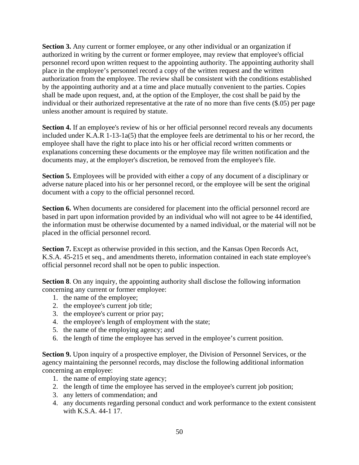**Section 3.** Any current or former employee, or any other individual or an organization if authorized in writing by the current or former employee, may review that employee's official personnel record upon written request to the appointing authority. The appointing authority shall place in the employee's personnel record a copy of the written request and the written authorization from the employee. The review shall be consistent with the conditions established by the appointing authority and at a time and place mutually convenient to the parties. Copies shall be made upon request, and, at the option of the Employer, the cost shall be paid by the individual or their authorized representative at the rate of no more than five cents (\$.05) per page unless another amount is required by statute.

**Section 4.** If an employee's review of his or her official personnel record reveals any documents included under K.A.R 1-13-1a(5) that the employee feels are detrimental to his or her record, the employee shall have the right to place into his or her official record written comments or explanations concerning these documents or the employee may file written notification and the documents may, at the employer's discretion, be removed from the employee's file.

**Section 5.** Employees will be provided with either a copy of any document of a disciplinary or adverse nature placed into his or her personnel record, or the employee will be sent the original document with a copy to the official personnel record.

**Section 6.** When documents are considered for placement into the official personnel record are based in part upon information provided by an individual who will not agree to be 44 identified, the information must be otherwise documented by a named individual, or the material will not be placed in the official personnel record.

**Section 7.** Except as otherwise provided in this section, and the Kansas Open Records Act, K.S.A. 45-215 et seq., and amendments thereto, information contained in each state employee's official personnel record shall not be open to public inspection.

**Section 8**. On any inquiry, the appointing authority shall disclose the following information concerning any current or former employee:

- 1. the name of the employee;
- 2. the employee's current job title;
- 3. the employee's current or prior pay;
- 4. the employee's length of employment with the state;
- 5. the name of the employing agency; and
- 6. the length of time the employee has served in the employee's current position.

**Section 9.** Upon inquiry of a prospective employer, the Division of Personnel Services, or the agency maintaining the personnel records, may disclose the following additional information concerning an employee:

- 1. the name of employing state agency;
- 2. the length of time the employee has served in the employee's current job position;
- 3. any letters of commendation; and
- 4. any documents regarding personal conduct and work performance to the extent consistent with K.S.A. 44-1 17.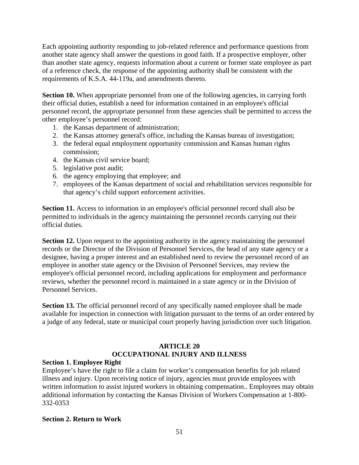Each appointing authority responding to job-related reference and performance questions from another state agency shall answer the questions in good faith. If a prospective employer, other than another state agency, requests information about a current or former state employee as part of a reference check, the response of the appointing authority shall be consistent with the requirements of K.S.A. 44-119a, and amendments thereto.

**Section 10.** When appropriate personnel from one of the following agencies, in carrying forth their official duties, establish a need for information contained in an employee's official personnel record, the appropriate personnel from these agencies shall be permitted to access the other employee's personnel record:

- 1. the Kansas department of administration;
- 2. the Kansas attorney general's office, including the Kansas bureau of investigation;
- 3. the federal equal employment opportunity commission and Kansas human rights commission;
- 4. the Kansas civil service board;
- 5. legislative post audit;
- 6. the agency employing that employee; and
- 7. employees of the Kansas department of social and rehabilitation services responsible for that agency's child support enforcement activities.

**Section 11.** Access to information in an employee's official personnel record shall also be permitted to individuals in the agency maintaining the personnel records carrying out their official duties.

**Section 12.** Upon request to the appointing authority in the agency maintaining the personnel records or the Director of the Division of Personnel Services, the head of any state agency or a designee, having a proper interest and an established need to review the personnel record of an employee in another state agency or the Division of Personnel Services, may review the employee's official personnel record, including applications for employment and performance reviews, whether the personnel record is maintained in a state agency or in the Division of Personnel Services.

**Section 13.** The official personnel record of any specifically named employee shall be made available for inspection in connection with litigation pursuant to the terms of an order entered by a judge of any federal, state or municipal court properly having jurisdiction over such litigation.

# **ARTICLE 20 OCCUPATIONAL INJURY AND ILLNESS**

#### **Section 1. Employee Right**

Employee's have the right to file a claim for worker's compensation benefits for job related illness and injury. Upon receiving notice of injury, agencies must provide employees with written information to assist injured workers in obtaining compensation.. Employees may obtain additional information by contacting the Kansas Division of Workers Compensation at 1-800- 332-0353

#### **Section 2. Return to Work**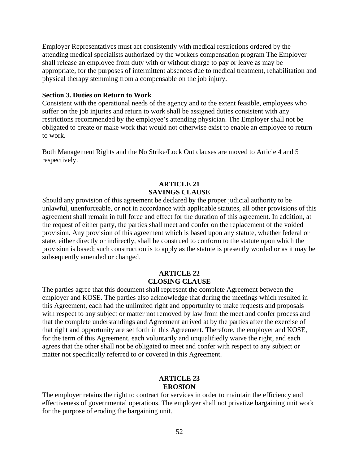Employer Representatives must act consistently with medical restrictions ordered by the attending medical specialists authorized by the workers compensation program The Employer shall release an employee from duty with or without charge to pay or leave as may be appropriate, for the purposes of intermittent absences due to medical treatment, rehabilitation and physical therapy stemming from a compensable on the job injury.

#### **Section 3. Duties on Return to Work**

Consistent with the operational needs of the agency and to the extent feasible, employees who suffer on the job injuries and return to work shall be assigned duties consistent with any restrictions recommended by the employee's attending physician. The Employer shall not be obligated to create or make work that would not otherwise exist to enable an employee to return to work.

Both Management Rights and the No Strike/Lock Out clauses are moved to Article 4 and 5 respectively.

#### **ARTICLE 21 SAVINGS CLAUSE**

Should any provision of this agreement be declared by the proper judicial authority to be unlawful, unenforceable, or not in accordance with applicable statutes, all other provisions of this agreement shall remain in full force and effect for the duration of this agreement. In addition, at the request of either party, the parties shall meet and confer on the replacement of the voided provision. Any provision of this agreement which is based upon any statute, whether federal or state, either directly or indirectly, shall be construed to conform to the statute upon which the provision is based; such construction is to apply as the statute is presently worded or as it may be subsequently amended or changed.

# **ARTICLE 22 CLOSING CLAUSE**

The parties agree that this document shall represent the complete Agreement between the employer and KOSE. The parties also acknowledge that during the meetings which resulted in this Agreement, each had the unlimited right and opportunity to make requests and proposals with respect to any subject or matter not removed by law from the meet and confer process and that the complete understandings and Agreement arrived at by the parties after the exercise of that right and opportunity are set forth in this Agreement. Therefore, the employer and KOSE, for the term of this Agreement, each voluntarily and unqualifiedly waive the right, and each agrees that the other shall not be obligated to meet and confer with respect to any subject or matter not specifically referred to or covered in this Agreement.

#### **ARTICLE 23 EROSION**

The employer retains the right to contract for services in order to maintain the efficiency and effectiveness of governmental operations. The employer shall not privatize bargaining unit work for the purpose of eroding the bargaining unit.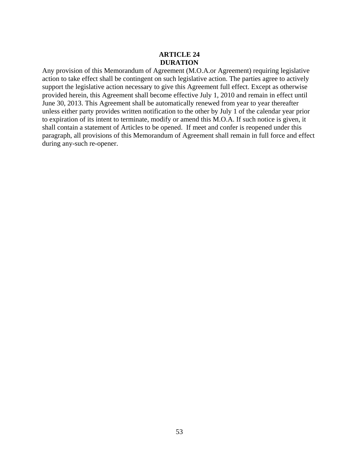# **ARTICLE 24 DURATION**

Any provision of this Memorandum of Agreement (M.O.A.or Agreement) requiring legislative action to take effect shall be contingent on such legislative action. The parties agree to actively support the legislative action necessary to give this Agreement full effect. Except as otherwise provided herein, this Agreement shall become effective July 1, 2010 and remain in effect until June 30, 2013. This Agreement shall be automatically renewed from year to year thereafter unless either party provides written notification to the other by July 1 of the calendar year prior to expiration of its intent to terminate, modify or amend this M.O.A. If such notice is given, it shall contain a statement of Articles to be opened. If meet and confer is reopened under this paragraph, all provisions of this Memorandum of Agreement shall remain in full force and effect during any-such re-opener.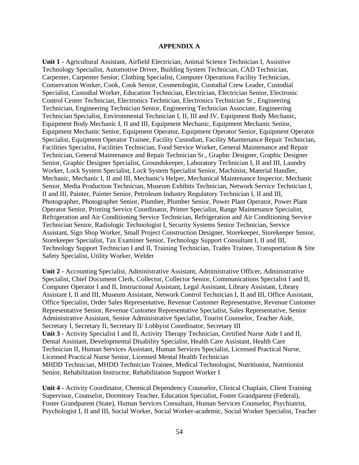#### **APPENDIX A**

**Unit 1 -** Agricultural Assistant, Airfield Electrician, Animal Science Technician I, Assistive Technology Specialist, Automotive Driver, Building System Technician, CAD Technician, Carpenter, Carpenter Senior, Clothing Specialist, Computer Operations Facility Technician, Conservation Worker, Cook, Cook Senior, Cosmetologist, Custodial Crew Leader, Custodial Specialist, Custodial Worker, Education Technician, Electrician, Electrician Senior, Electronic Control Center Technician, Electronics Technician, Electronics Technician Sr., Engineering Technician, Engineering Technician Senior, Engineering Technician Associate, Engineering Technician Specialist, Environmental Technician I, II, III and IV, Equipment Body Mechanic, Equipment Body Mechanic I, II and III, Equipment Mechanic, Equipment Mechanic Senior, Equipment Mechanic Senior, Equipment Operator, Equipment Operator Senior, Equipment Operator Specialist, Equipment Operator Trainee, Facility Custodian, Facility Maintenance Repair Technician, Facilities Specialist, Facilities Technician, Food Service Worker, General Maintenance and Repair Technician, General Maintenance and Repair Technician Sr., Graphic Designer, Graphic Designer Senior, Graphic Designer Specialist, Groundskeeper, Laboratory Technician I, II and III, Laundry Worker, Lock System Specialist, Lock System Specialist Senior, Machinist, Material Handler, Mechanic, Mechanic I, II and III, Mechanic's Helper, Mechanical Maintenance Inspector, Mechanic Senior, Media Production Technician, Museum Exhibits Technician, Network Service Technician I, II and III, Painter, Painter Senior, Petroleum Industry Regulatory Technician I, II and III, Photographer, Photographer Senior, Plumber, Plumber Senior, Power Plant Operator, Power Plant Operator Senior, Printing Service Coordinator, Printer Specialist, Range Maintenance Specialist, Refrigeration and Air Conditioning Service Technician, Refrigeration and Air Conditioning Service Technician Senior, Radiologic Technologist I, Security Systems Senior Technician, Service Assistant, Sign Shop Worker, Small Project Construction Designer, Storekeeper, Storekeeper Senior, Storekeeper Specialist, Tax Examiner Senior, Technology Support Consultant I, II and III, Technology Support Technician I and II, Training Technician, Trades Trainee, Transportation & Site Safety Specialist, Utility Worker, Welder

**Unit 2 -** Accounting Specialist, Administrative Assistant, Administrative Officer, Administrative Specialist, Chief Document Clerk, Collector, Collector Senior, Communications Specialist I and II, Computer Operator I and II, Instructional Assistant, Legal Assistant, Library Assistant, Library Assistant I, II and III, Museum Assistant, Network Control Technician I, II and III, Office Assistant, Office Specialist, Order Sales Representative, Revenue Customer Representative, Revenue Customer Representative Senior, Revenue Customer Representative Specialist, Sales Representative, Senior Administrative Assistant, Senior Administrative Specialist, Tourist Counselor, Teacher Aide, Secretary I, Secretary II, Secretary II/ Lobbyist Coordinator, Secretary III **Unit 3 -** Activity Specialist I and II, Activity Therapy Technician, Certified Nurse Aide I and II, Dental Assistant, Developmental Disability Specialist, Health Care Assistant, Health Care Technician II, Human Services Assistant, Human Services Specialist, Licensed Practical Nurse, Licensed Practical Nurse Senior, Licensed Mental Health Technician MHDD Technician, MHDD Technician Trainee, Medical Technologist, Nutritionist, Nutritionist Senior, Rehabilitation Instructor, Rehabilitation Support Worker I

**Unit 4 -** Activity Coordinator, Chemical Dependency Counselor, Clinical Chaplain, Client Training Supervisor, Counselor, Dormitory Teacher, Education Specialist, Foster Grandparent (Federal), Foster Grandparent (State), Human Services Consultant, Human Services Counselor, Psychiatrist, Psychologist I, II and III, Social Worker, Social Worker-academic, Social Worker Specialist, Teacher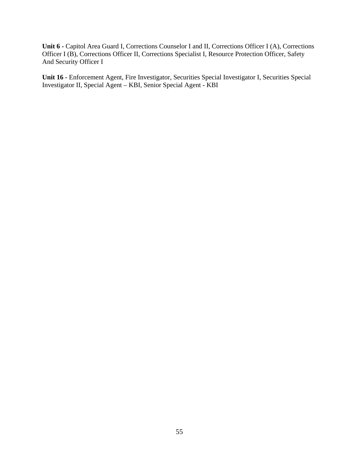Unit 6 - Capitol Area Guard I, Corrections Counselor I and II, Corrections Officer I (A), Corrections Officer I (B), Corrections Officer II, Corrections Specialist I, Resource Protection Officer, Safety And Security Officer I

**Unit 16 -** Enforcement Agent, Fire Investigator, Securities Special Investigator I, Securities Special Investigator II, Special Agent – KBI, Senior Special Agent - KBI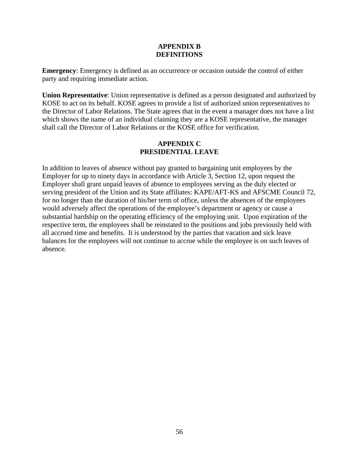#### **APPENDIX B DEFINITIONS**

**Emergency**: Emergency is defined as an occurrence or occasion outside the control of either party and requiring immediate action.

**Union Representative**: Union representative is defined as a person designated and authorized by KOSE to act on its behalf. KOSE agrees to provide a list of authorized union representatives to the Director of Labor Relations. The State agrees that in the event a manager does not have a list which shows the name of an individual claiming they are a KOSE representative, the manager shall call the Director of Labor Relations or the KOSE office for verification.

# **APPENDIX C PRESIDENTIAL LEAVE**

In addition to leaves of absence without pay granted to bargaining unit employees by the Employer for up to ninety days in accordance with Article 3, Section 12, upon request the Employer shall grant unpaid leaves of absence to employees serving as the duly elected or serving president of the Union and its State affiliates: KAPE/AFT-KS and AFSCME Council 72, for no longer than the duration of his/her term of office, unless the absences of the employees would adversely affect the operations of the employee's department or agency or cause a substantial hardship on the operating efficiency of the employing unit. Upon expiration of the respective term, the employees shall be reinstated to the positions and jobs previously held with all accrued time and benefits. It is understood by the parties that vacation and sick leave balances for the employees will not continue to accrue while the employee is on such leaves of absence.